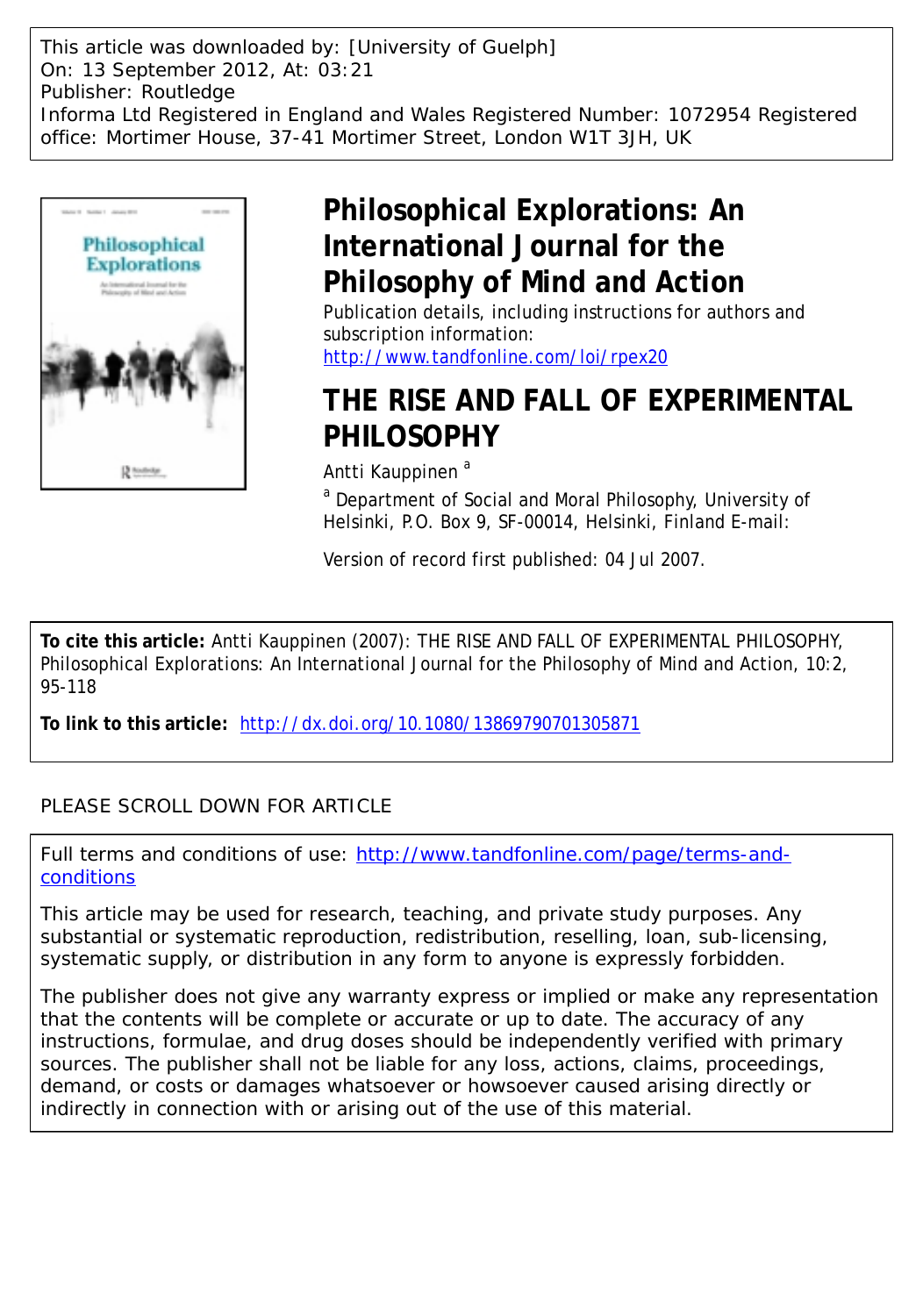This article was downloaded by: [University of Guelph] On: 13 September 2012, At: 03:21 Publisher: Routledge Informa Ltd Registered in England and Wales Registered Number: 1072954 Registered office: Mortimer House, 37-41 Mortimer Street, London W1T 3JH, UK



# **Philosophical Explorations: An International Journal for the Philosophy of Mind and Action**

Publication details, including instructions for authors and subscription information: <http://www.tandfonline.com/loi/rpex20>

## **THE RISE AND FALL OF EXPERIMENTAL PHILOSOPHY**

Antti Kauppinen<sup>a</sup>

<sup>a</sup> Department of Social and Moral Philosophy, University of Helsinki, P.O. Box 9, SF-00014, Helsinki, Finland E-mail:

Version of record first published: 04 Jul 2007.

**To cite this article:** Antti Kauppinen (2007): THE RISE AND FALL OF EXPERIMENTAL PHILOSOPHY, Philosophical Explorations: An International Journal for the Philosophy of Mind and Action, 10:2, 95-118

**To link to this article:** <http://dx.doi.org/10.1080/13869790701305871>

### PLEASE SCROLL DOWN FOR ARTICLE

Full terms and conditions of use: [http://www.tandfonline.com/page/terms-and](http://www.tandfonline.com/page/terms-and-conditions)[conditions](http://www.tandfonline.com/page/terms-and-conditions)

This article may be used for research, teaching, and private study purposes. Any substantial or systematic reproduction, redistribution, reselling, loan, sub-licensing, systematic supply, or distribution in any form to anyone is expressly forbidden.

The publisher does not give any warranty express or implied or make any representation that the contents will be complete or accurate or up to date. The accuracy of any instructions, formulae, and drug doses should be independently verified with primary sources. The publisher shall not be liable for any loss, actions, claims, proceedings, demand, or costs or damages whatsoever or howsoever caused arising directly or indirectly in connection with or arising out of the use of this material.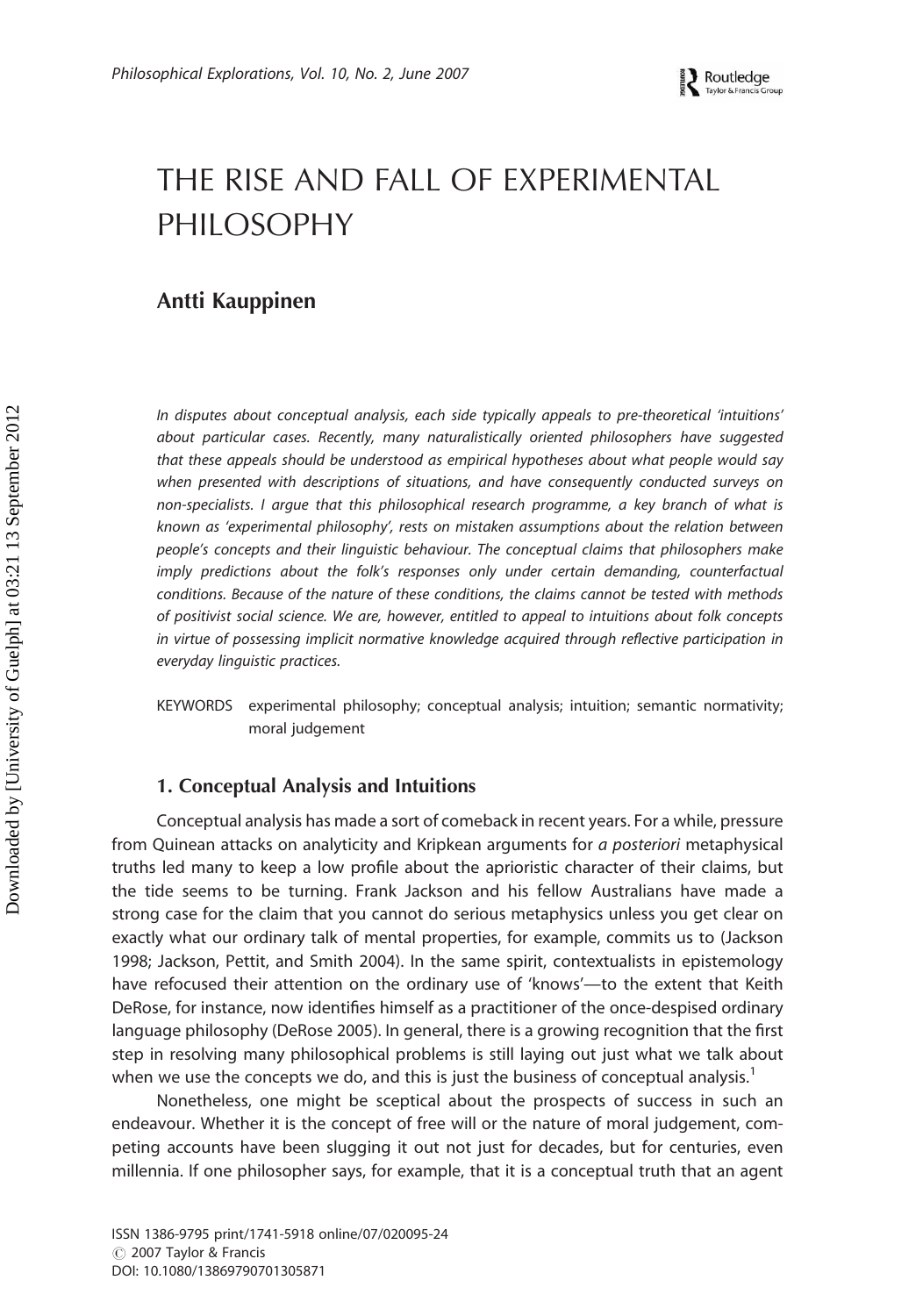# THE RISE AND FALL OF EXPERIMENTAL PHILOSOPHY

### Antti Kauppinen

In disputes about conceptual analysis, each side typically appeals to pre-theoretical 'intuitions' about particular cases. Recently, many naturalistically oriented philosophers have suggested that these appeals should be understood as empirical hypotheses about what people would say when presented with descriptions of situations, and have consequently conducted surveys on non-specialists. I argue that this philosophical research programme, a key branch of what is known as 'experimental philosophy', rests on mistaken assumptions about the relation between people's concepts and their linguistic behaviour. The conceptual claims that philosophers make imply predictions about the folk's responses only under certain demanding, counterfactual conditions. Because of the nature of these conditions, the claims cannot be tested with methods of positivist social science. We are, however, entitled to appeal to intuitions about folk concepts in virtue of possessing implicit normative knowledge acquired through reflective participation in everyday linguistic practices.

KEYWORDS experimental philosophy; conceptual analysis; intuition; semantic normativity; moral judgement

#### 1. Conceptual Analysis and Intuitions

Conceptual analysis has made a sort of comeback in recent years. For a while, pressure from Quinean attacks on analyticity and Kripkean arguments for a posteriori metaphysical truths led many to keep a low profile about the aprioristic character of their claims, but the tide seems to be turning. Frank Jackson and his fellow Australians have made a strong case for the claim that you cannot do serious metaphysics unless you get clear on exactly what our ordinary talk of mental properties, for example, commits us to (Jackson 1998; Jackson, Pettit, and Smith 2004). In the same spirit, contextualists in epistemology have refocused their attention on the ordinary use of 'knows'—to the extent that Keith DeRose, for instance, now identifies himself as a practitioner of the once-despised ordinary language philosophy (DeRose 2005). In general, there is a growing recognition that the first step in resolving many philosophical problems is still laying out just what we talk about when we use the concepts we do, and this is just the business of conceptual analysis.<sup>1</sup>

Nonetheless, one might be sceptical about the prospects of success in such an endeavour. Whether it is the concept of free will or the nature of moral judgement, competing accounts have been slugging it out not just for decades, but for centuries, even millennia. If one philosopher says, for example, that it is a conceptual truth that an agent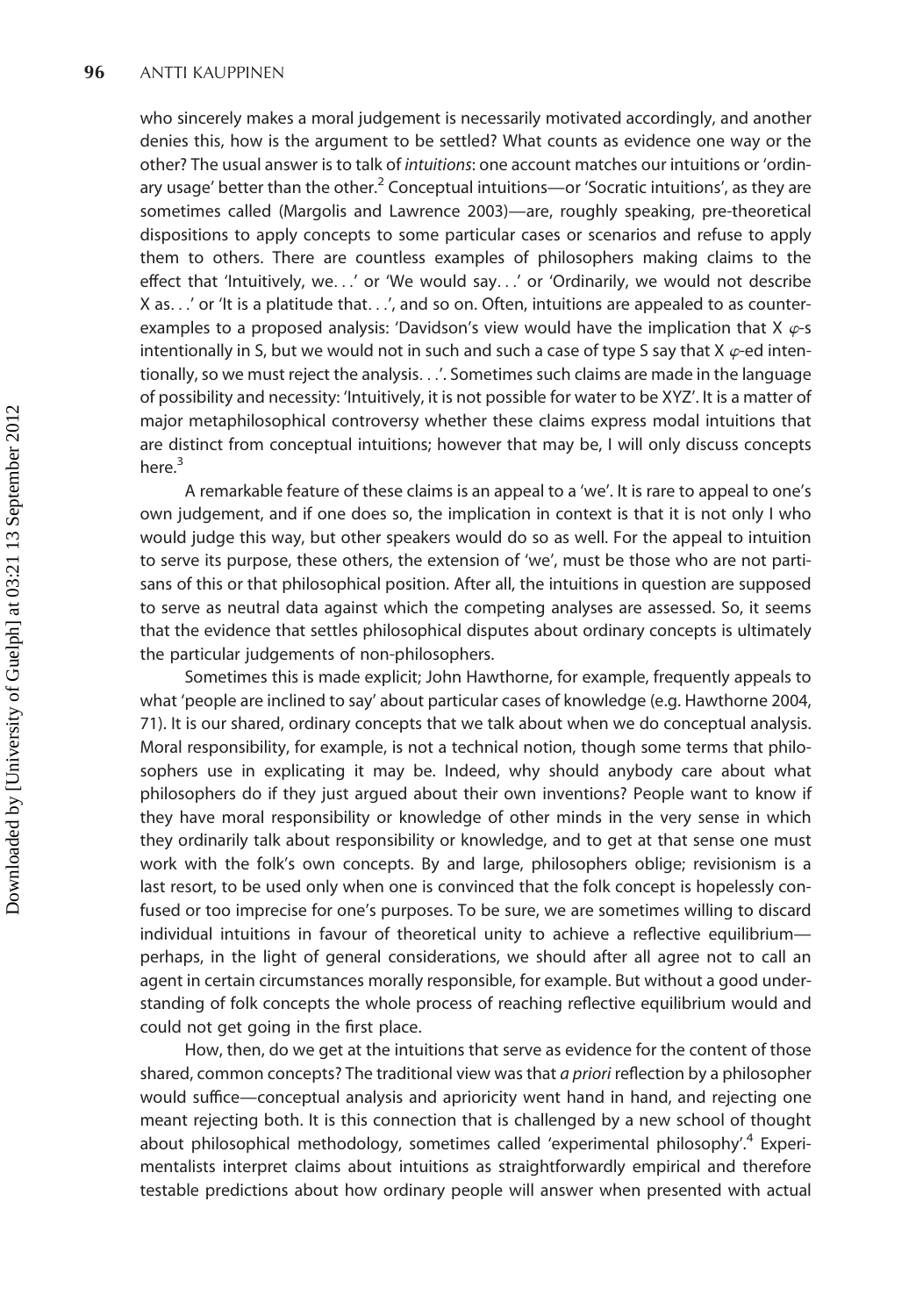who sincerely makes a moral judgement is necessarily motivated accordingly, and another denies this, how is the argument to be settled? What counts as evidence one way or the other? The usual answer is to talk of intuitions: one account matches our intuitions or 'ordinary usage' better than the other.<sup>2</sup> Conceptual intuitions—or 'Socratic intuitions', as they are sometimes called (Margolis and Lawrence 2003)—are, roughly speaking, pre-theoretical dispositions to apply concepts to some particular cases or scenarios and refuse to apply them to others. There are countless examples of philosophers making claims to the effect that 'Intuitively, we...' or 'We would say...' or 'Ordinarily, we would not describe X as...' or 'It is a platitude that...', and so on. Often, intuitions are appealed to as counterexamples to a proposed analysis: 'Davidson's view would have the implication that X  $\varphi$ -s intentionally in S, but we would not in such and such a case of type S say that X  $\varphi$ -ed intentionally, so we must reject the analysis...'. Sometimes such claims are made in the language of possibility and necessity: 'Intuitively, it is not possible for water to be XYZ'. It is a matter of major metaphilosophical controversy whether these claims express modal intuitions that are distinct from conceptual intuitions; however that may be, I will only discuss concepts here $3$ 

A remarkable feature of these claims is an appeal to a 'we'. It is rare to appeal to one's own judgement, and if one does so, the implication in context is that it is not only I who would judge this way, but other speakers would do so as well. For the appeal to intuition to serve its purpose, these others, the extension of 'we', must be those who are not partisans of this or that philosophical position. After all, the intuitions in question are supposed to serve as neutral data against which the competing analyses are assessed. So, it seems that the evidence that settles philosophical disputes about ordinary concepts is ultimately the particular judgements of non-philosophers.

Sometimes this is made explicit; John Hawthorne, for example, frequently appeals to what 'people are inclined to say' about particular cases of knowledge (e.g. Hawthorne 2004, 71). It is our shared, ordinary concepts that we talk about when we do conceptual analysis. Moral responsibility, for example, is not a technical notion, though some terms that philosophers use in explicating it may be. Indeed, why should anybody care about what philosophers do if they just argued about their own inventions? People want to know if they have moral responsibility or knowledge of other minds in the very sense in which they ordinarily talk about responsibility or knowledge, and to get at that sense one must work with the folk's own concepts. By and large, philosophers oblige; revisionism is a last resort, to be used only when one is convinced that the folk concept is hopelessly confused or too imprecise for one's purposes. To be sure, we are sometimes willing to discard individual intuitions in favour of theoretical unity to achieve a reflective equilibrium perhaps, in the light of general considerations, we should after all agree not to call an agent in certain circumstances morally responsible, for example. But without a good understanding of folk concepts the whole process of reaching reflective equilibrium would and could not get going in the first place.

How, then, do we get at the intuitions that serve as evidence for the content of those shared, common concepts? The traditional view was that a priori reflection by a philosopher would suffice—conceptual analysis and aprioricity went hand in hand, and rejecting one meant rejecting both. It is this connection that is challenged by a new school of thought about philosophical methodology, sometimes called 'experimental philosophy'.<sup>4</sup> Experimentalists interpret claims about intuitions as straightforwardly empirical and therefore testable predictions about how ordinary people will answer when presented with actual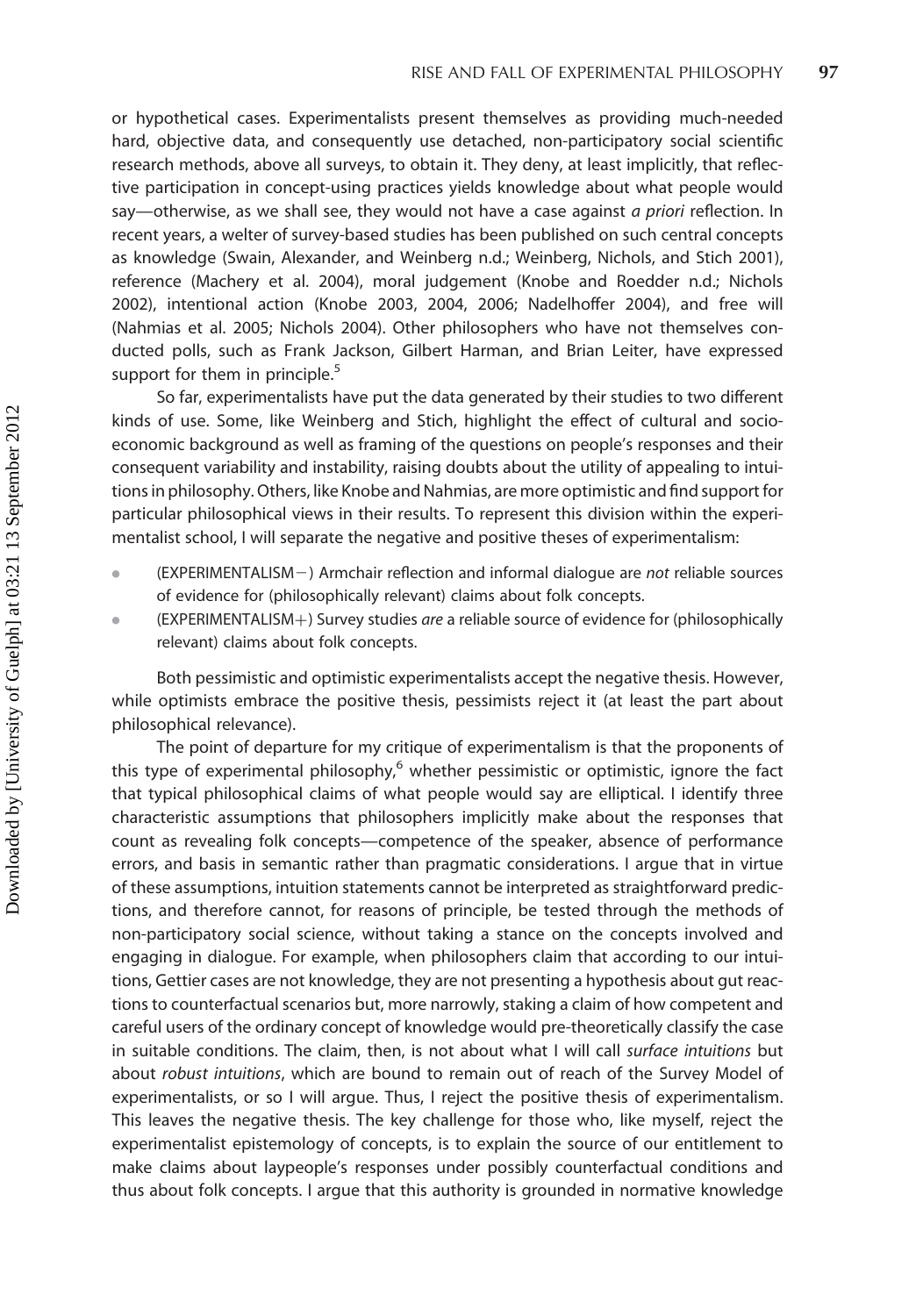or hypothetical cases. Experimentalists present themselves as providing much-needed hard, objective data, and consequently use detached, non-participatory social scientific research methods, above all surveys, to obtain it. They deny, at least implicitly, that reflective participation in concept-using practices yields knowledge about what people would say—otherwise, as we shall see, they would not have a case against a priori reflection. In recent years, a welter of survey-based studies has been published on such central concepts as knowledge (Swain, Alexander, and Weinberg n.d.; Weinberg, Nichols, and Stich 2001), reference (Machery et al. 2004), moral judgement (Knobe and Roedder n.d.; Nichols 2002), intentional action (Knobe 2003, 2004, 2006; Nadelhoffer 2004), and free will (Nahmias et al. 2005; Nichols 2004). Other philosophers who have not themselves conducted polls, such as Frank Jackson, Gilbert Harman, and Brian Leiter, have expressed support for them in principle. $5$ 

So far, experimentalists have put the data generated by their studies to two different kinds of use. Some, like Weinberg and Stich, highlight the effect of cultural and socioeconomic background as well as framing of the questions on people's responses and their consequent variability and instability, raising doubts about the utility of appealing to intuitions in philosophy. Others, like Knobe and Nahmias, are more optimistic and find support for particular philosophical views in their results. To represent this division within the experimentalist school, I will separate the negative and positive theses of experimentalism:

- . (EXPERIMENTALISM*2*) Armchair reflection and informal dialogue are not reliable sources of evidence for (philosophically relevant) claims about folk concepts.
- (EXPERIMENTALISM+) Survey studies are a reliable source of evidence for (philosophically relevant) claims about folk concepts.

Both pessimistic and optimistic experimentalists accept the negative thesis. However, while optimists embrace the positive thesis, pessimists reject it (at least the part about philosophical relevance).

The point of departure for my critique of experimentalism is that the proponents of this type of experimental philosophy, $6$  whether pessimistic or optimistic, ignore the fact that typical philosophical claims of what people would say are elliptical. I identify three characteristic assumptions that philosophers implicitly make about the responses that count as revealing folk concepts—competence of the speaker, absence of performance errors, and basis in semantic rather than pragmatic considerations. I argue that in virtue of these assumptions, intuition statements cannot be interpreted as straightforward predictions, and therefore cannot, for reasons of principle, be tested through the methods of non-participatory social science, without taking a stance on the concepts involved and engaging in dialogue. For example, when philosophers claim that according to our intuitions, Gettier cases are not knowledge, they are not presenting a hypothesis about gut reactions to counterfactual scenarios but, more narrowly, staking a claim of how competent and careful users of the ordinary concept of knowledge would pre-theoretically classify the case in suitable conditions. The claim, then, is not about what I will call surface intuitions but about robust intuitions, which are bound to remain out of reach of the Survey Model of experimentalists, or so I will argue. Thus, I reject the positive thesis of experimentalism. This leaves the negative thesis. The key challenge for those who, like myself, reject the experimentalist epistemology of concepts, is to explain the source of our entitlement to make claims about laypeople's responses under possibly counterfactual conditions and thus about folk concepts. I argue that this authority is grounded in normative knowledge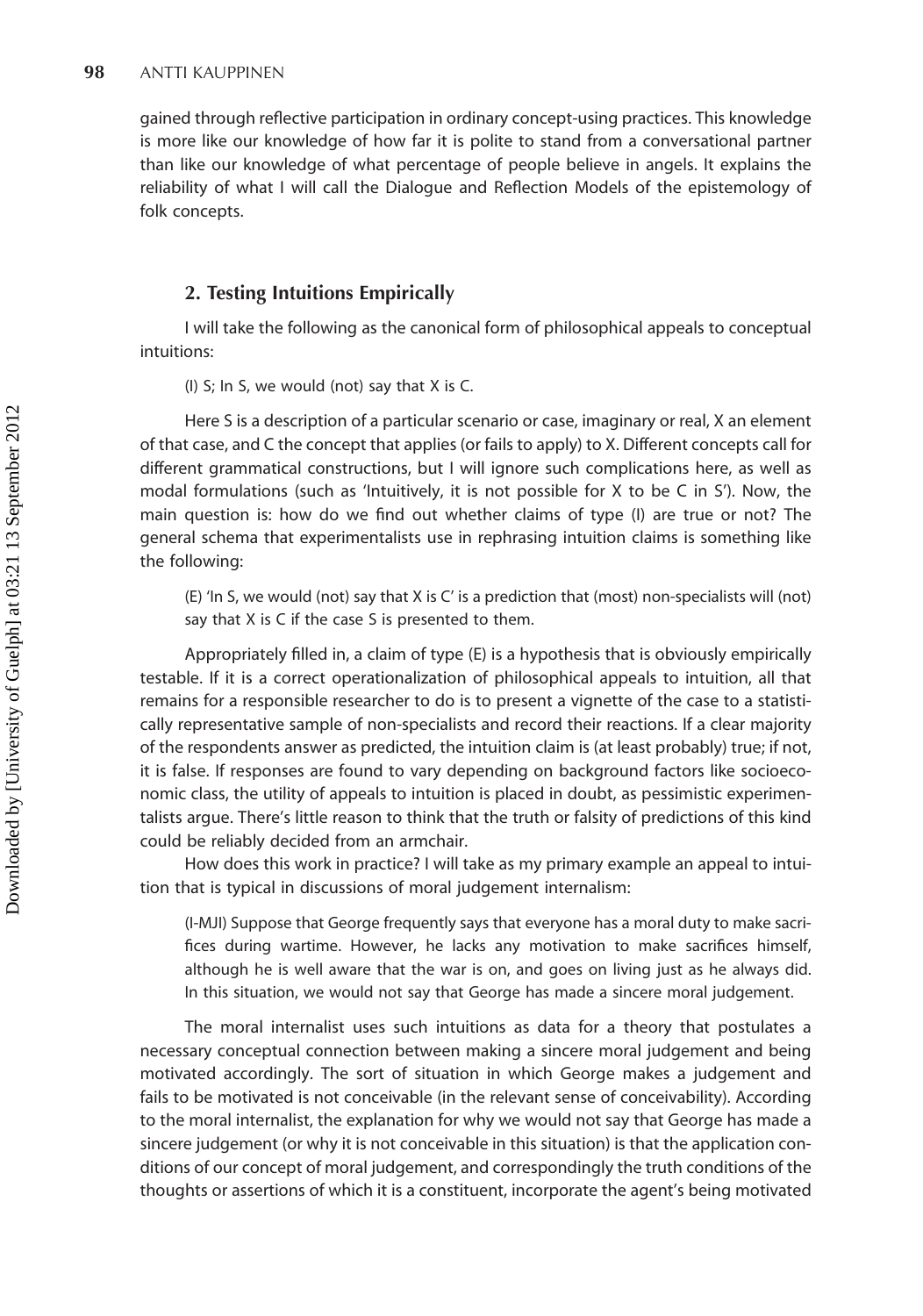gained through reflective participation in ordinary concept-using practices. This knowledge is more like our knowledge of how far it is polite to stand from a conversational partner than like our knowledge of what percentage of people believe in angels. It explains the reliability of what I will call the Dialogue and Reflection Models of the epistemology of folk concepts.

#### 2. Testing Intuitions Empirically

I will take the following as the canonical form of philosophical appeals to conceptual intuitions:

(I) S; In S, we would (not) say that X is C.

Here S is a description of a particular scenario or case, imaginary or real, X an element of that case, and C the concept that applies (or fails to apply) to X. Different concepts call for different grammatical constructions, but I will ignore such complications here, as well as modal formulations (such as 'Intuitively, it is not possible for X to be C in S'). Now, the main question is: how do we find out whether claims of type (I) are true or not? The general schema that experimentalists use in rephrasing intuition claims is something like the following:

(E) 'In S, we would (not) say that X is C' is a prediction that (most) non-specialists will (not) say that X is C if the case S is presented to them.

Appropriately filled in, a claim of type (E) is a hypothesis that is obviously empirically testable. If it is a correct operationalization of philosophical appeals to intuition, all that remains for a responsible researcher to do is to present a vignette of the case to a statistically representative sample of non-specialists and record their reactions. If a clear majority of the respondents answer as predicted, the intuition claim is (at least probably) true; if not, it is false. If responses are found to vary depending on background factors like socioeconomic class, the utility of appeals to intuition is placed in doubt, as pessimistic experimentalists argue. There's little reason to think that the truth or falsity of predictions of this kind could be reliably decided from an armchair.

How does this work in practice? I will take as my primary example an appeal to intuition that is typical in discussions of moral judgement internalism:

(I-MJI) Suppose that George frequently says that everyone has a moral duty to make sacrifices during wartime. However, he lacks any motivation to make sacrifices himself, although he is well aware that the war is on, and goes on living just as he always did. In this situation, we would not say that George has made a sincere moral judgement.

The moral internalist uses such intuitions as data for a theory that postulates a necessary conceptual connection between making a sincere moral judgement and being motivated accordingly. The sort of situation in which George makes a judgement and fails to be motivated is not conceivable (in the relevant sense of conceivability). According to the moral internalist, the explanation for why we would not say that George has made a sincere judgement (or why it is not conceivable in this situation) is that the application conditions of our concept of moral judgement, and correspondingly the truth conditions of the thoughts or assertions of which it is a constituent, incorporate the agent's being motivated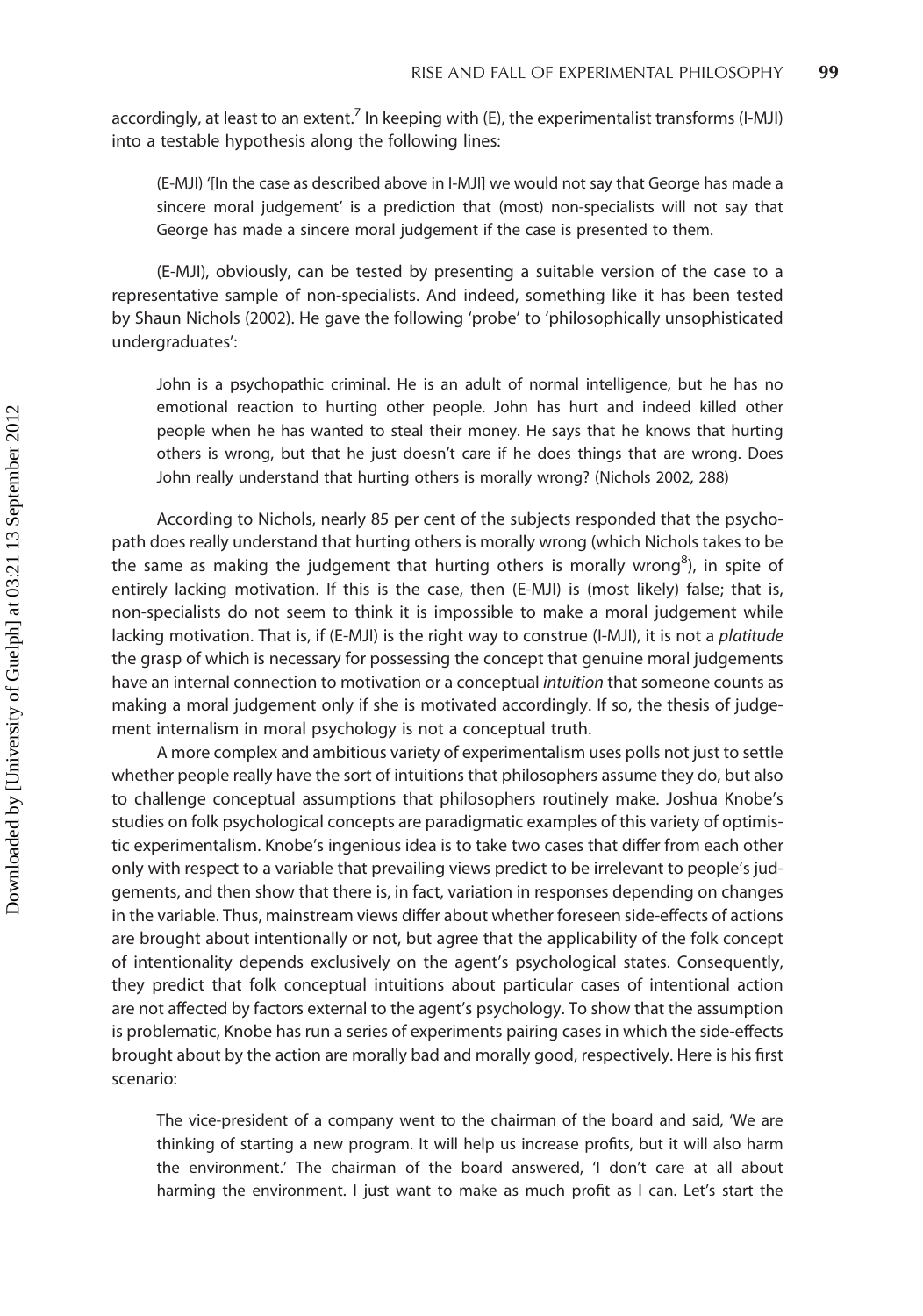accordingly, at least to an extent.<sup>7</sup> In keeping with (E), the experimentalist transforms (I-MJI) into a testable hypothesis along the following lines:

(E-MJI) '[In the case as described above in I-MJI] we would not say that George has made a sincere moral judgement' is a prediction that (most) non-specialists will not say that George has made a sincere moral judgement if the case is presented to them.

(E-MJI), obviously, can be tested by presenting a suitable version of the case to a representative sample of non-specialists. And indeed, something like it has been tested by Shaun Nichols (2002). He gave the following 'probe' to 'philosophically unsophisticated undergraduates':

John is a psychopathic criminal. He is an adult of normal intelligence, but he has no emotional reaction to hurting other people. John has hurt and indeed killed other people when he has wanted to steal their money. He says that he knows that hurting others is wrong, but that he just doesn't care if he does things that are wrong. Does John really understand that hurting others is morally wrong? (Nichols 2002, 288)

According to Nichols, nearly 85 per cent of the subjects responded that the psychopath does really understand that hurting others is morally wrong (which Nichols takes to be the same as making the judgement that hurting others is morally wrong<sup>8</sup>), in spite of entirely lacking motivation. If this is the case, then (E-MJI) is (most likely) false; that is, non-specialists do not seem to think it is impossible to make a moral judgement while lacking motivation. That is, if (E-MJI) is the right way to construe (I-MJI), it is not a platitude the grasp of which is necessary for possessing the concept that genuine moral judgements have an internal connection to motivation or a conceptual intuition that someone counts as making a moral judgement only if she is motivated accordingly. If so, the thesis of judgement internalism in moral psychology is not a conceptual truth.

A more complex and ambitious variety of experimentalism uses polls not just to settle whether people really have the sort of intuitions that philosophers assume they do, but also to challenge conceptual assumptions that philosophers routinely make. Joshua Knobe's studies on folk psychological concepts are paradigmatic examples of this variety of optimistic experimentalism. Knobe's ingenious idea is to take two cases that differ from each other only with respect to a variable that prevailing views predict to be irrelevant to people's judgements, and then show that there is, in fact, variation in responses depending on changes in the variable. Thus, mainstream views differ about whether foreseen side-effects of actions are brought about intentionally or not, but agree that the applicability of the folk concept of intentionality depends exclusively on the agent's psychological states. Consequently, they predict that folk conceptual intuitions about particular cases of intentional action are not affected by factors external to the agent's psychology. To show that the assumption is problematic, Knobe has run a series of experiments pairing cases in which the side-effects brought about by the action are morally bad and morally good, respectively. Here is his first scenario:

The vice-president of a company went to the chairman of the board and said, 'We are thinking of starting a new program. It will help us increase profits, but it will also harm the environment.' The chairman of the board answered, 'I don't care at all about harming the environment. I just want to make as much profit as I can. Let's start the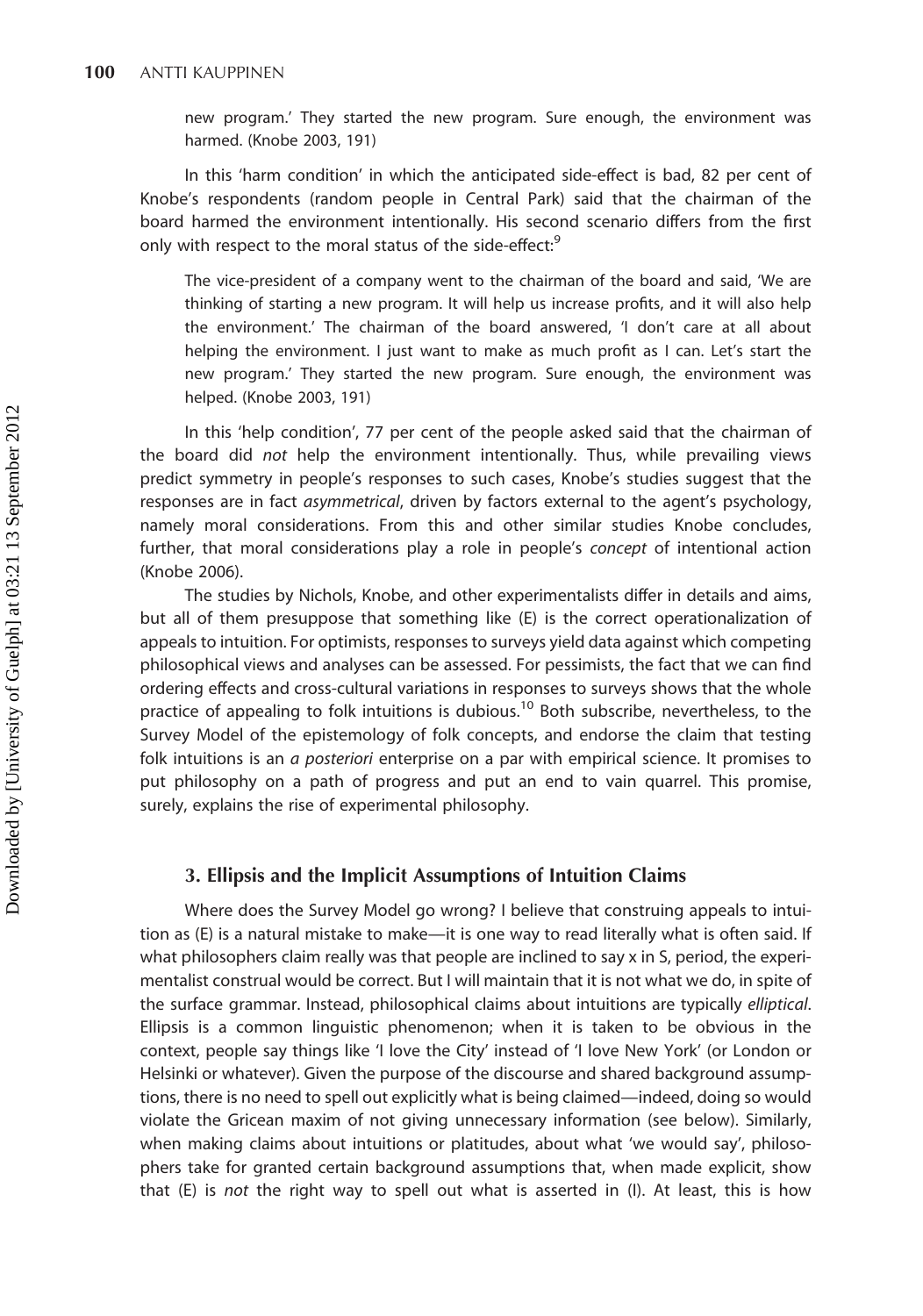new program.' They started the new program. Sure enough, the environment was harmed. (Knobe 2003, 191)

In this 'harm condition' in which the anticipated side-effect is bad, 82 per cent of Knobe's respondents (random people in Central Park) said that the chairman of the board harmed the environment intentionally. His second scenario differs from the first only with respect to the moral status of the side-effect:<sup>9</sup>

The vice-president of a company went to the chairman of the board and said, 'We are thinking of starting a new program. It will help us increase profits, and it will also help the environment.' The chairman of the board answered, 'I don't care at all about helping the environment. I just want to make as much profit as I can. Let's start the new program.' They started the new program. Sure enough, the environment was helped. (Knobe 2003, 191)

In this 'help condition', 77 per cent of the people asked said that the chairman of the board did not help the environment intentionally. Thus, while prevailing views predict symmetry in people's responses to such cases, Knobe's studies suggest that the responses are in fact asymmetrical, driven by factors external to the agent's psychology, namely moral considerations. From this and other similar studies Knobe concludes, further, that moral considerations play a role in people's concept of intentional action (Knobe 2006).

The studies by Nichols, Knobe, and other experimentalists differ in details and aims, but all of them presuppose that something like (E) is the correct operationalization of appeals to intuition. For optimists, responses to surveys yield data against which competing philosophical views and analyses can be assessed. For pessimists, the fact that we can find ordering effects and cross-cultural variations in responses to surveys shows that the whole practice of appealing to folk intuitions is dubious.<sup>10</sup> Both subscribe, nevertheless, to the Survey Model of the epistemology of folk concepts, and endorse the claim that testing folk intuitions is an *a posteriori* enterprise on a par with empirical science. It promises to put philosophy on a path of progress and put an end to vain quarrel. This promise, surely, explains the rise of experimental philosophy.

#### 3. Ellipsis and the Implicit Assumptions of Intuition Claims

Where does the Survey Model go wrong? I believe that construing appeals to intuition as (E) is a natural mistake to make—it is one way to read literally what is often said. If what philosophers claim really was that people are inclined to say x in S, period, the experimentalist construal would be correct. But I will maintain that it is not what we do, in spite of the surface grammar. Instead, philosophical claims about intuitions are typically elliptical. Ellipsis is a common linguistic phenomenon; when it is taken to be obvious in the context, people say things like 'I love the City' instead of 'I love New York' (or London or Helsinki or whatever). Given the purpose of the discourse and shared background assumptions, there is no need to spell out explicitly what is being claimed—indeed, doing so would violate the Gricean maxim of not giving unnecessary information (see below). Similarly, when making claims about intuitions or platitudes, about what 'we would say', philosophers take for granted certain background assumptions that, when made explicit, show that (E) is not the right way to spell out what is asserted in (I). At least, this is how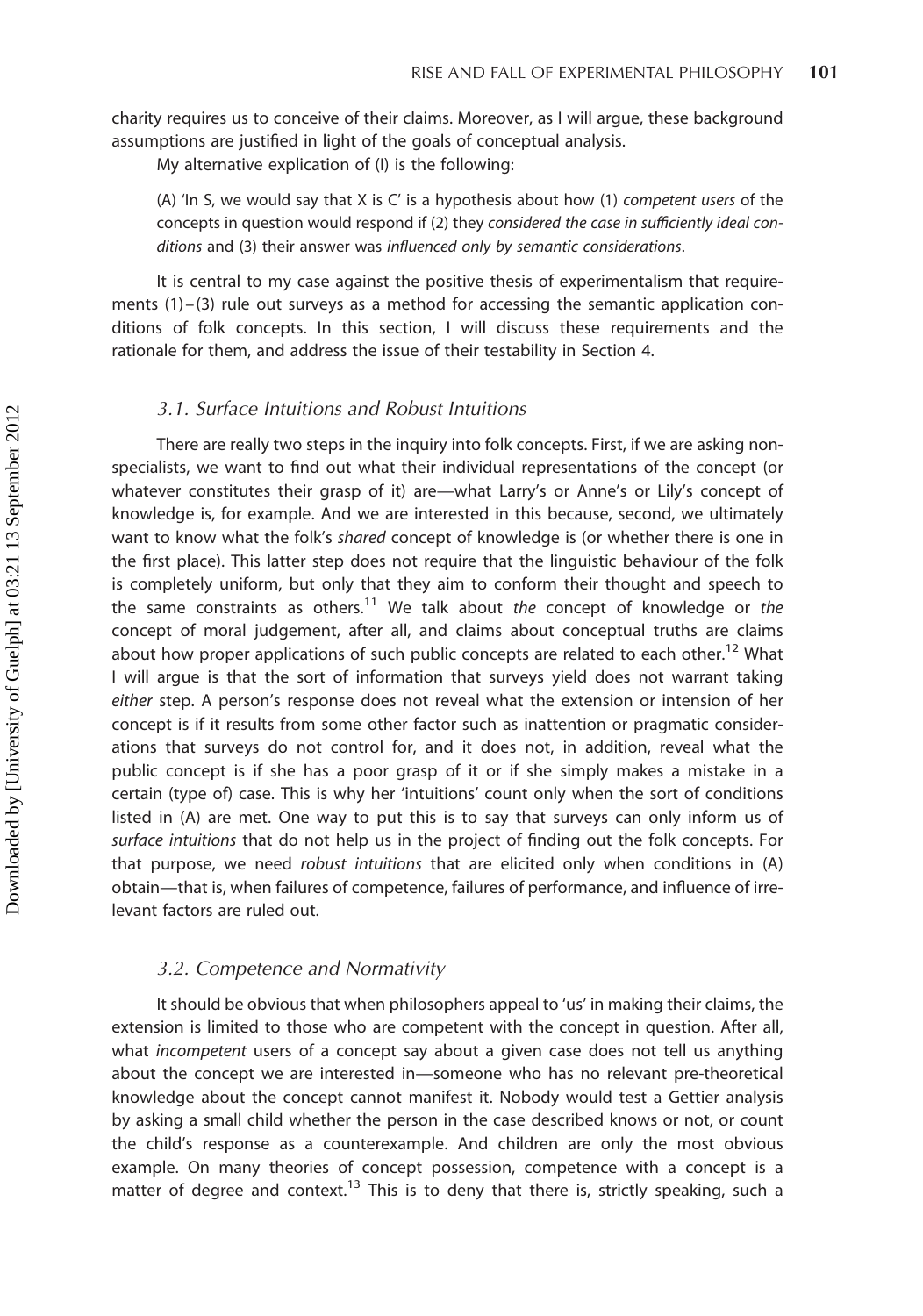charity requires us to conceive of their claims. Moreover, as I will argue, these background assumptions are justified in light of the goals of conceptual analysis.

My alternative explication of (I) is the following:

(A) 'In S, we would say that X is C' is a hypothesis about how  $(1)$  competent users of the concepts in question would respond if (2) they considered the case in sufficiently ideal conditions and (3) their answer was influenced only by semantic considerations.

It is central to my case against the positive thesis of experimentalism that requirements (1)–(3) rule out surveys as a method for accessing the semantic application conditions of folk concepts. In this section, I will discuss these requirements and the rationale for them, and address the issue of their testability in Section 4.

#### 3.1. Surface Intuitions and Robust Intuitions

There are really two steps in the inquiry into folk concepts. First, if we are asking nonspecialists, we want to find out what their individual representations of the concept (or whatever constitutes their grasp of it) are—what Larry's or Anne's or Lily's concept of knowledge is, for example. And we are interested in this because, second, we ultimately want to know what the folk's shared concept of knowledge is (or whether there is one in the first place). This latter step does not require that the linguistic behaviour of the folk is completely uniform, but only that they aim to conform their thought and speech to the same constraints as others.<sup>11</sup> We talk about the concept of knowledge or the concept of moral judgement, after all, and claims about conceptual truths are claims about how proper applications of such public concepts are related to each other.<sup>12</sup> What I will argue is that the sort of information that surveys yield does not warrant taking either step. A person's response does not reveal what the extension or intension of her concept is if it results from some other factor such as inattention or pragmatic considerations that surveys do not control for, and it does not, in addition, reveal what the public concept is if she has a poor grasp of it or if she simply makes a mistake in a certain (type of) case. This is why her 'intuitions' count only when the sort of conditions listed in (A) are met. One way to put this is to say that surveys can only inform us of surface intuitions that do not help us in the project of finding out the folk concepts. For that purpose, we need robust intuitions that are elicited only when conditions in (A) obtain—that is, when failures of competence, failures of performance, and influence of irrelevant factors are ruled out.

#### 3.2. Competence and Normativity

It should be obvious that when philosophers appeal to 'us' in making their claims, the extension is limited to those who are competent with the concept in question. After all, what incompetent users of a concept say about a given case does not tell us anything about the concept we are interested in—someone who has no relevant pre-theoretical knowledge about the concept cannot manifest it. Nobody would test a Gettier analysis by asking a small child whether the person in the case described knows or not, or count the child's response as a counterexample. And children are only the most obvious example. On many theories of concept possession, competence with a concept is a matter of degree and context.<sup>13</sup> This is to deny that there is, strictly speaking, such a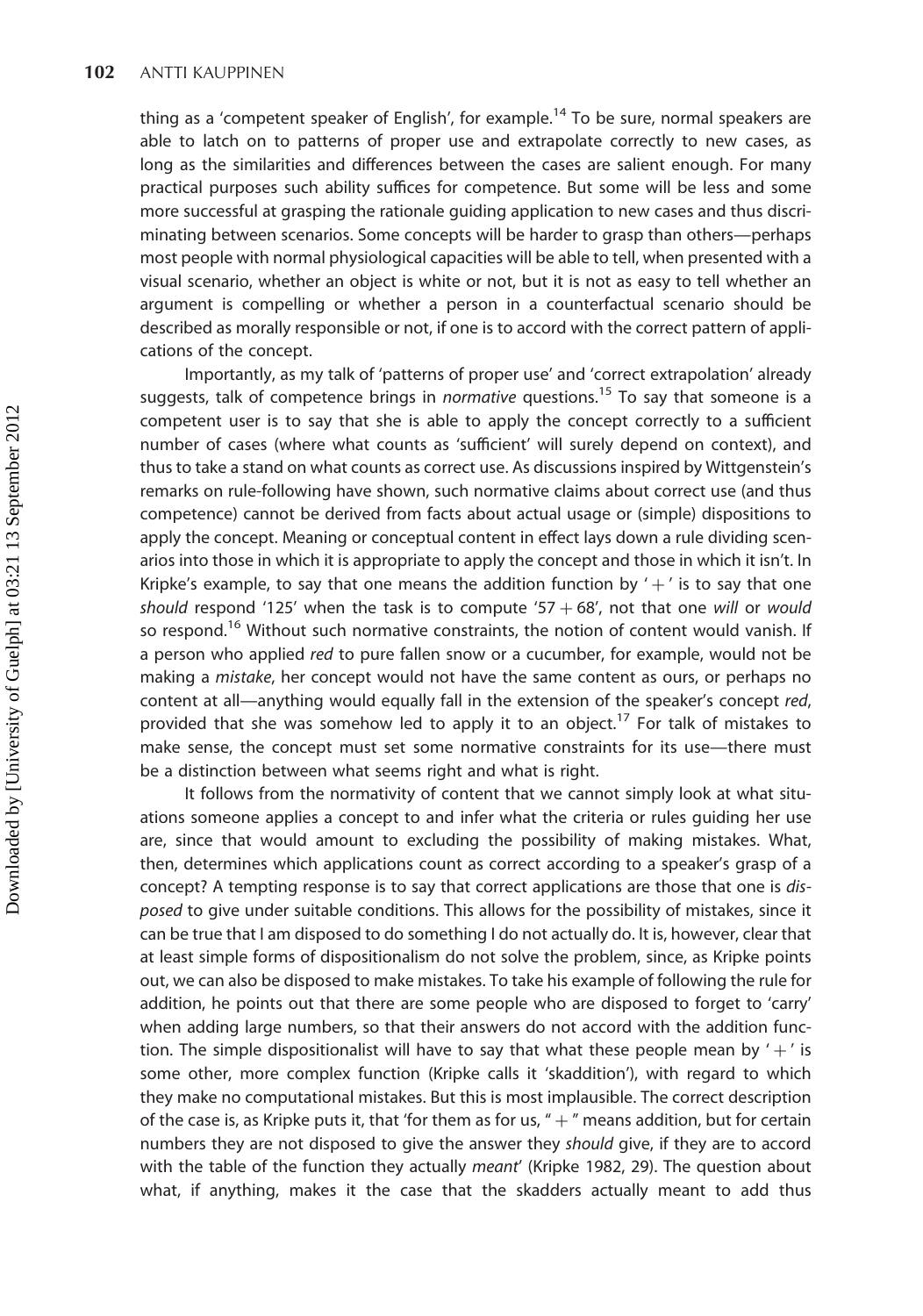thing as a 'competent speaker of English', for example.<sup>14</sup> To be sure, normal speakers are able to latch on to patterns of proper use and extrapolate correctly to new cases, as long as the similarities and differences between the cases are salient enough. For many practical purposes such ability suffices for competence. But some will be less and some more successful at grasping the rationale guiding application to new cases and thus discriminating between scenarios. Some concepts will be harder to grasp than others—perhaps most people with normal physiological capacities will be able to tell, when presented with a visual scenario, whether an object is white or not, but it is not as easy to tell whether an argument is compelling or whether a person in a counterfactual scenario should be described as morally responsible or not, if one is to accord with the correct pattern of applications of the concept.

Importantly, as my talk of 'patterns of proper use' and 'correct extrapolation' already suggests, talk of competence brings in *normative* questions.<sup>15</sup> To say that someone is a competent user is to say that she is able to apply the concept correctly to a sufficient number of cases (where what counts as 'sufficient' will surely depend on context), and thus to take a stand on what counts as correct use. As discussions inspired by Wittgenstein's remarks on rule-following have shown, such normative claims about correct use (and thus competence) cannot be derived from facts about actual usage or (simple) dispositions to apply the concept. Meaning or conceptual content in effect lays down a rule dividing scenarios into those in which it is appropriate to apply the concept and those in which it isn't. In Kripke's example, to say that one means the addition function by  $'+$  is to say that one should respond '125' when the task is to compute '57 + 68', not that one will or would so respond.<sup>16</sup> Without such normative constraints, the notion of content would vanish. If a person who applied red to pure fallen snow or a cucumber, for example, would not be making a mistake, her concept would not have the same content as ours, or perhaps no content at all—anything would equally fall in the extension of the speaker's concept red, provided that she was somehow led to apply it to an object.<sup>17</sup> For talk of mistakes to make sense, the concept must set some normative constraints for its use—there must be a distinction between what seems right and what is right.

It follows from the normativity of content that we cannot simply look at what situations someone applies a concept to and infer what the criteria or rules guiding her use are, since that would amount to excluding the possibility of making mistakes. What, then, determines which applications count as correct according to a speaker's grasp of a concept? A tempting response is to say that correct applications are those that one is disposed to give under suitable conditions. This allows for the possibility of mistakes, since it can be true that I am disposed to do something I do not actually do. It is, however, clear that at least simple forms of dispositionalism do not solve the problem, since, as Kripke points out, we can also be disposed to make mistakes. To take his example of following the rule for addition, he points out that there are some people who are disposed to forget to 'carry' when adding large numbers, so that their answers do not accord with the addition function. The simple dispositionalist will have to say that what these people mean by  $'+'$  is some other, more complex function (Kripke calls it 'skaddition'), with regard to which they make no computational mistakes. But this is most implausible. The correct description of the case is, as Kripke puts it, that 'for them as for us, " $+$ " means addition, but for certain numbers they are not disposed to give the answer they should give, if they are to accord with the table of the function they actually *meant'* (Kripke 1982, 29). The question about what, if anything, makes it the case that the skadders actually meant to add thus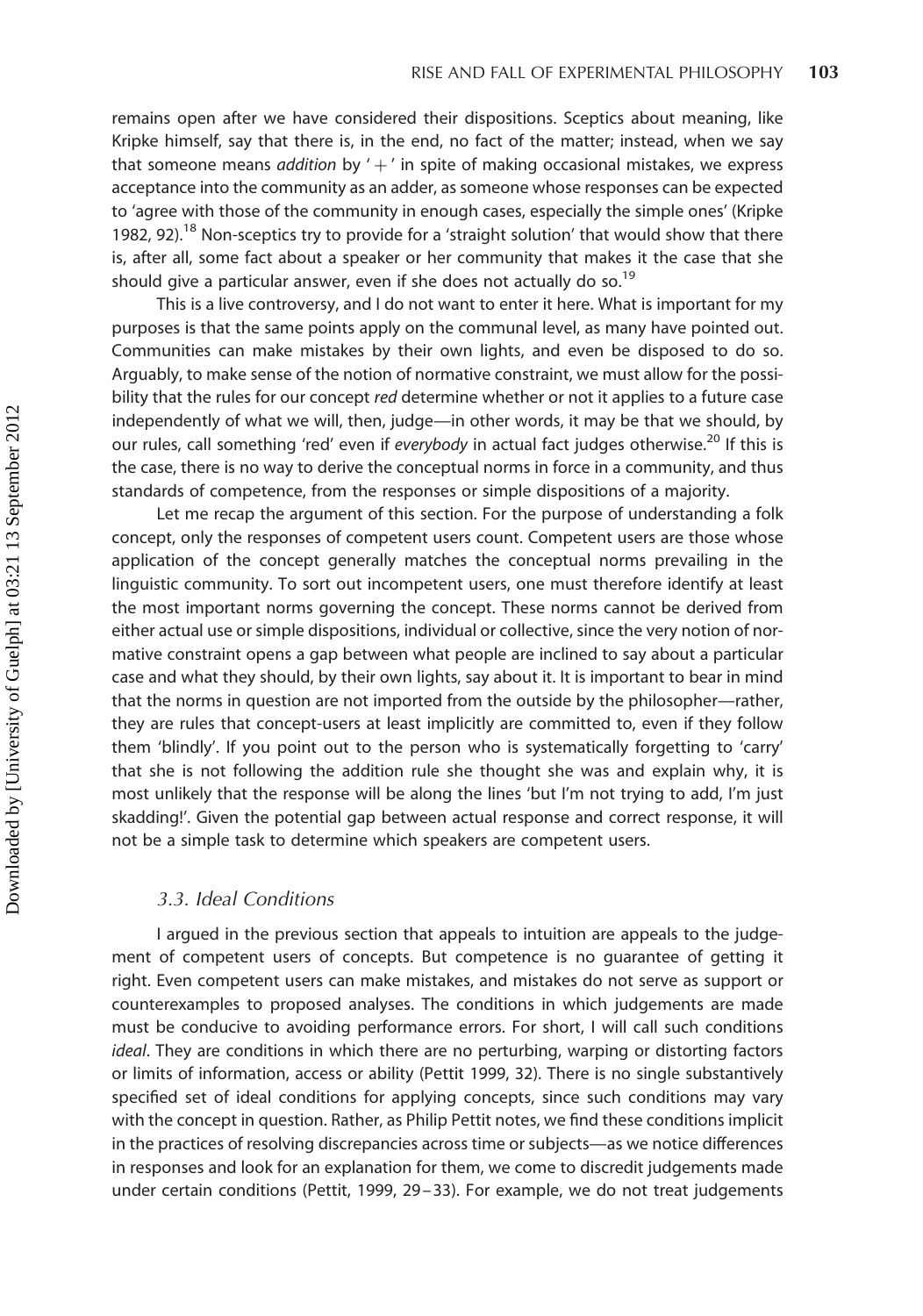remains open after we have considered their dispositions. Sceptics about meaning, like Kripke himself, say that there is, in the end, no fact of the matter; instead, when we say that someone means *addition* by  $' + '$  in spite of making occasional mistakes, we express acceptance into the community as an adder, as someone whose responses can be expected to 'agree with those of the community in enough cases, especially the simple ones' (Kripke 1982, 92).<sup>18</sup> Non-sceptics try to provide for a 'straight solution' that would show that there is, after all, some fact about a speaker or her community that makes it the case that she should give a particular answer, even if she does not actually do so.<sup>19</sup>

This is a live controversy, and I do not want to enter it here. What is important for my purposes is that the same points apply on the communal level, as many have pointed out. Communities can make mistakes by their own lights, and even be disposed to do so. Arguably, to make sense of the notion of normative constraint, we must allow for the possibility that the rules for our concept red determine whether or not it applies to a future case independently of what we will, then, judge—in other words, it may be that we should, by our rules, call something 'red' even if everybody in actual fact judges otherwise.<sup>20</sup> If this is the case, there is no way to derive the conceptual norms in force in a community, and thus standards of competence, from the responses or simple dispositions of a majority.

Let me recap the argument of this section. For the purpose of understanding a folk concept, only the responses of competent users count. Competent users are those whose application of the concept generally matches the conceptual norms prevailing in the linguistic community. To sort out incompetent users, one must therefore identify at least the most important norms governing the concept. These norms cannot be derived from either actual use or simple dispositions, individual or collective, since the very notion of normative constraint opens a gap between what people are inclined to say about a particular case and what they should, by their own lights, say about it. It is important to bear in mind that the norms in question are not imported from the outside by the philosopher—rather, they are rules that concept-users at least implicitly are committed to, even if they follow them 'blindly'. If you point out to the person who is systematically forgetting to 'carry' that she is not following the addition rule she thought she was and explain why, it is most unlikely that the response will be along the lines 'but I'm not trying to add, I'm just skadding!'. Given the potential gap between actual response and correct response, it will not be a simple task to determine which speakers are competent users.

#### 3.3. Ideal Conditions

I argued in the previous section that appeals to intuition are appeals to the judgement of competent users of concepts. But competence is no guarantee of getting it right. Even competent users can make mistakes, and mistakes do not serve as support or counterexamples to proposed analyses. The conditions in which judgements are made must be conducive to avoiding performance errors. For short, I will call such conditions ideal. They are conditions in which there are no perturbing, warping or distorting factors or limits of information, access or ability (Pettit 1999, 32). There is no single substantively specified set of ideal conditions for applying concepts, since such conditions may vary with the concept in question. Rather, as Philip Pettit notes, we find these conditions implicit in the practices of resolving discrepancies across time or subjects—as we notice differences in responses and look for an explanation for them, we come to discredit judgements made under certain conditions (Pettit, 1999, 29-33). For example, we do not treat judgements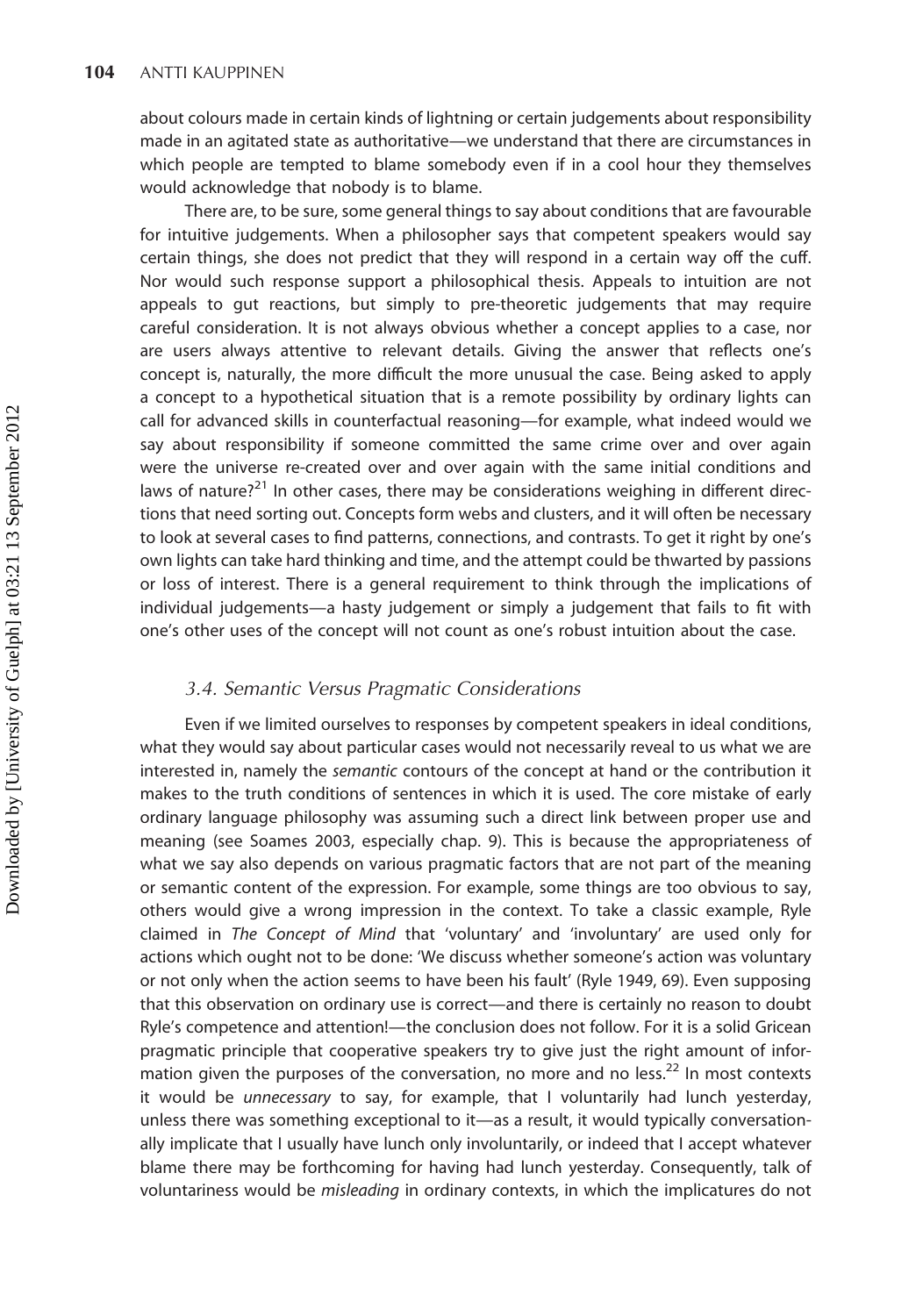about colours made in certain kinds of lightning or certain judgements about responsibility made in an agitated state as authoritative—we understand that there are circumstances in which people are tempted to blame somebody even if in a cool hour they themselves would acknowledge that nobody is to blame.

There are, to be sure, some general things to say about conditions that are favourable for intuitive judgements. When a philosopher says that competent speakers would say certain things, she does not predict that they will respond in a certain way off the cuff. Nor would such response support a philosophical thesis. Appeals to intuition are not appeals to gut reactions, but simply to pre-theoretic judgements that may require careful consideration. It is not always obvious whether a concept applies to a case, nor are users always attentive to relevant details. Giving the answer that reflects one's concept is, naturally, the more difficult the more unusual the case. Being asked to apply a concept to a hypothetical situation that is a remote possibility by ordinary lights can call for advanced skills in counterfactual reasoning—for example, what indeed would we say about responsibility if someone committed the same crime over and over again were the universe re-created over and over again with the same initial conditions and laws of nature?<sup>21</sup> In other cases, there may be considerations weighing in different directions that need sorting out. Concepts form webs and clusters, and it will often be necessary to look at several cases to find patterns, connections, and contrasts. To get it right by one's own lights can take hard thinking and time, and the attempt could be thwarted by passions or loss of interest. There is a general requirement to think through the implications of individual judgements—a hasty judgement or simply a judgement that fails to fit with one's other uses of the concept will not count as one's robust intuition about the case.

#### 3.4. Semantic Versus Pragmatic Considerations

Even if we limited ourselves to responses by competent speakers in ideal conditions, what they would say about particular cases would not necessarily reveal to us what we are interested in, namely the semantic contours of the concept at hand or the contribution it makes to the truth conditions of sentences in which it is used. The core mistake of early ordinary language philosophy was assuming such a direct link between proper use and meaning (see Soames 2003, especially chap. 9). This is because the appropriateness of what we say also depends on various pragmatic factors that are not part of the meaning or semantic content of the expression. For example, some things are too obvious to say, others would give a wrong impression in the context. To take a classic example, Ryle claimed in The Concept of Mind that 'voluntary' and 'involuntary' are used only for actions which ought not to be done: 'We discuss whether someone's action was voluntary or not only when the action seems to have been his fault' (Ryle 1949, 69). Even supposing that this observation on ordinary use is correct—and there is certainly no reason to doubt Ryle's competence and attention!—the conclusion does not follow. For it is a solid Gricean pragmatic principle that cooperative speakers try to give just the right amount of information given the purposes of the conversation, no more and no less.<sup>22</sup> In most contexts it would be *unnecessary* to say, for example, that I voluntarily had lunch yesterday, unless there was something exceptional to it—as a result, it would typically conversationally implicate that I usually have lunch only involuntarily, or indeed that I accept whatever blame there may be forthcoming for having had lunch yesterday. Consequently, talk of voluntariness would be misleading in ordinary contexts, in which the implicatures do not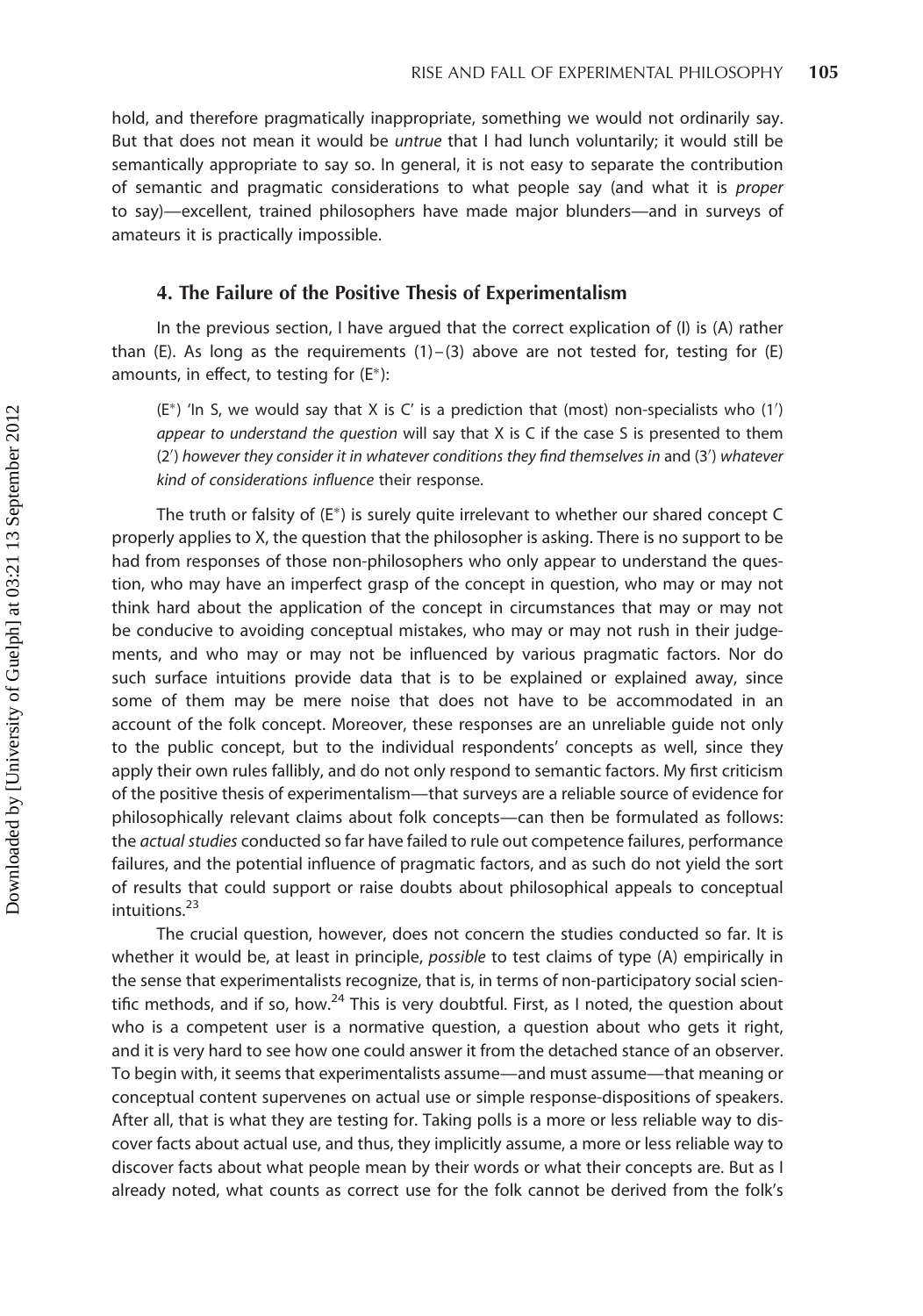hold, and therefore pragmatically inappropriate, something we would not ordinarily say. But that does not mean it would be *untrue* that I had lunch voluntarily; it would still be semantically appropriate to say so. In general, it is not easy to separate the contribution of semantic and pragmatic considerations to what people say (and what it is proper to say)—excellent, trained philosophers have made major blunders—and in surveys of amateurs it is practically impossible.

#### 4. The Failure of the Positive Thesis of Experimentalism

In the previous section, I have argued that the correct explication of (I) is (A) rather than (E). As long as the requirements  $(1)$  –(3) above are not tested for, testing for (E) amounts, in effect, to testing for  $(E^*)$ :

 $(E^*)$  'In S, we would say that X is C' is a prediction that (most) non-specialists who  $(1')$ appear to understand the question will say that  $X$  is  $C$  if the case  $S$  is presented to them (2') however they consider it in whatever conditions they find themselves in and (3') whatever kind of considerations influence their response.

The truth or falsity of  $(E^*)$  is surely quite irrelevant to whether our shared concept C properly applies to X, the question that the philosopher is asking. There is no support to be had from responses of those non-philosophers who only appear to understand the question, who may have an imperfect grasp of the concept in question, who may or may not think hard about the application of the concept in circumstances that may or may not be conducive to avoiding conceptual mistakes, who may or may not rush in their judgements, and who may or may not be influenced by various pragmatic factors. Nor do such surface intuitions provide data that is to be explained or explained away, since some of them may be mere noise that does not have to be accommodated in an account of the folk concept. Moreover, these responses are an unreliable guide not only to the public concept, but to the individual respondents' concepts as well, since they apply their own rules fallibly, and do not only respond to semantic factors. My first criticism of the positive thesis of experimentalism—that surveys are a reliable source of evidence for philosophically relevant claims about folk concepts—can then be formulated as follows: the actual studies conducted so far have failed to rule out competence failures, performance failures, and the potential influence of pragmatic factors, and as such do not yield the sort of results that could support or raise doubts about philosophical appeals to conceptual intuitions.<sup>23</sup>

The crucial question, however, does not concern the studies conducted so far. It is whether it would be, at least in principle, possible to test claims of type (A) empirically in the sense that experimentalists recognize, that is, in terms of non-participatory social scientific methods, and if so, how.<sup>24</sup> This is very doubtful. First, as I noted, the question about who is a competent user is a normative question, a question about who gets it right, and it is very hard to see how one could answer it from the detached stance of an observer. To begin with, it seems that experimentalists assume—and must assume—that meaning or conceptual content supervenes on actual use or simple response-dispositions of speakers. After all, that is what they are testing for. Taking polls is a more or less reliable way to discover facts about actual use, and thus, they implicitly assume, a more or less reliable way to discover facts about what people mean by their words or what their concepts are. But as I already noted, what counts as correct use for the folk cannot be derived from the folk's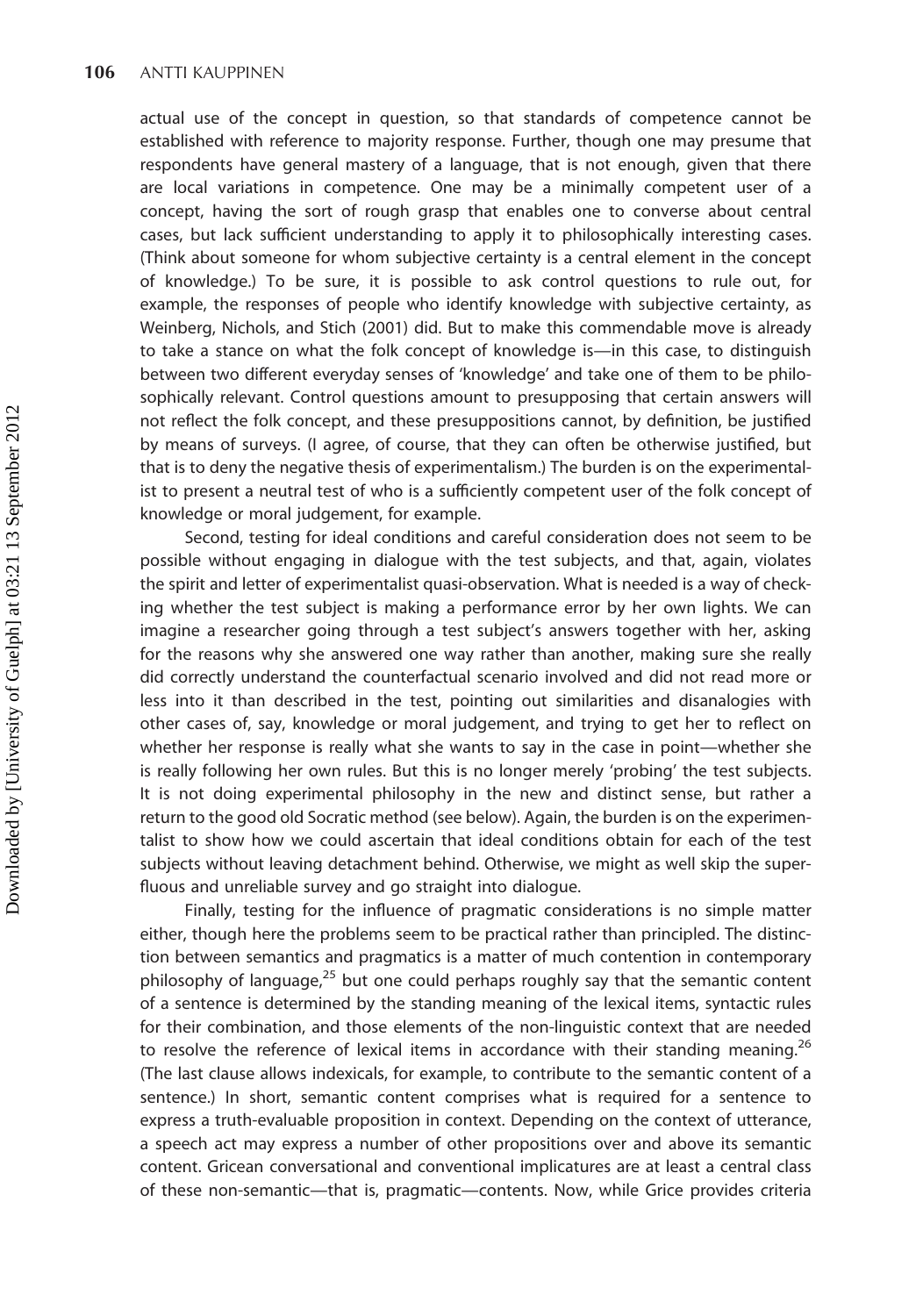actual use of the concept in question, so that standards of competence cannot be established with reference to majority response. Further, though one may presume that respondents have general mastery of a language, that is not enough, given that there are local variations in competence. One may be a minimally competent user of a concept, having the sort of rough grasp that enables one to converse about central cases, but lack sufficient understanding to apply it to philosophically interesting cases. (Think about someone for whom subjective certainty is a central element in the concept of knowledge.) To be sure, it is possible to ask control questions to rule out, for example, the responses of people who identify knowledge with subjective certainty, as Weinberg, Nichols, and Stich (2001) did. But to make this commendable move is already to take a stance on what the folk concept of knowledge is—in this case, to distinguish between two different everyday senses of 'knowledge' and take one of them to be philosophically relevant. Control questions amount to presupposing that certain answers will not reflect the folk concept, and these presuppositions cannot, by definition, be justified by means of surveys. (I agree, of course, that they can often be otherwise justified, but that is to deny the negative thesis of experimentalism.) The burden is on the experimentalist to present a neutral test of who is a sufficiently competent user of the folk concept of knowledge or moral judgement, for example.

Second, testing for ideal conditions and careful consideration does not seem to be possible without engaging in dialogue with the test subjects, and that, again, violates the spirit and letter of experimentalist quasi-observation. What is needed is a way of checking whether the test subject is making a performance error by her own lights. We can imagine a researcher going through a test subject's answers together with her, asking for the reasons why she answered one way rather than another, making sure she really did correctly understand the counterfactual scenario involved and did not read more or less into it than described in the test, pointing out similarities and disanalogies with other cases of, say, knowledge or moral judgement, and trying to get her to reflect on whether her response is really what she wants to say in the case in point—whether she is really following her own rules. But this is no longer merely 'probing' the test subjects. It is not doing experimental philosophy in the new and distinct sense, but rather a return to the good old Socratic method (see below). Again, the burden is on the experimentalist to show how we could ascertain that ideal conditions obtain for each of the test subjects without leaving detachment behind. Otherwise, we might as well skip the superfluous and unreliable survey and go straight into dialogue.

Finally, testing for the influence of pragmatic considerations is no simple matter either, though here the problems seem to be practical rather than principled. The distinction between semantics and pragmatics is a matter of much contention in contemporary philosophy of language,<sup>25</sup> but one could perhaps roughly say that the semantic content of a sentence is determined by the standing meaning of the lexical items, syntactic rules for their combination, and those elements of the non-linguistic context that are needed to resolve the reference of lexical items in accordance with their standing meaning.<sup>26</sup> (The last clause allows indexicals, for example, to contribute to the semantic content of a sentence.) In short, semantic content comprises what is required for a sentence to express a truth-evaluable proposition in context. Depending on the context of utterance, a speech act may express a number of other propositions over and above its semantic content. Gricean conversational and conventional implicatures are at least a central class of these non-semantic—that is, pragmatic—contents. Now, while Grice provides criteria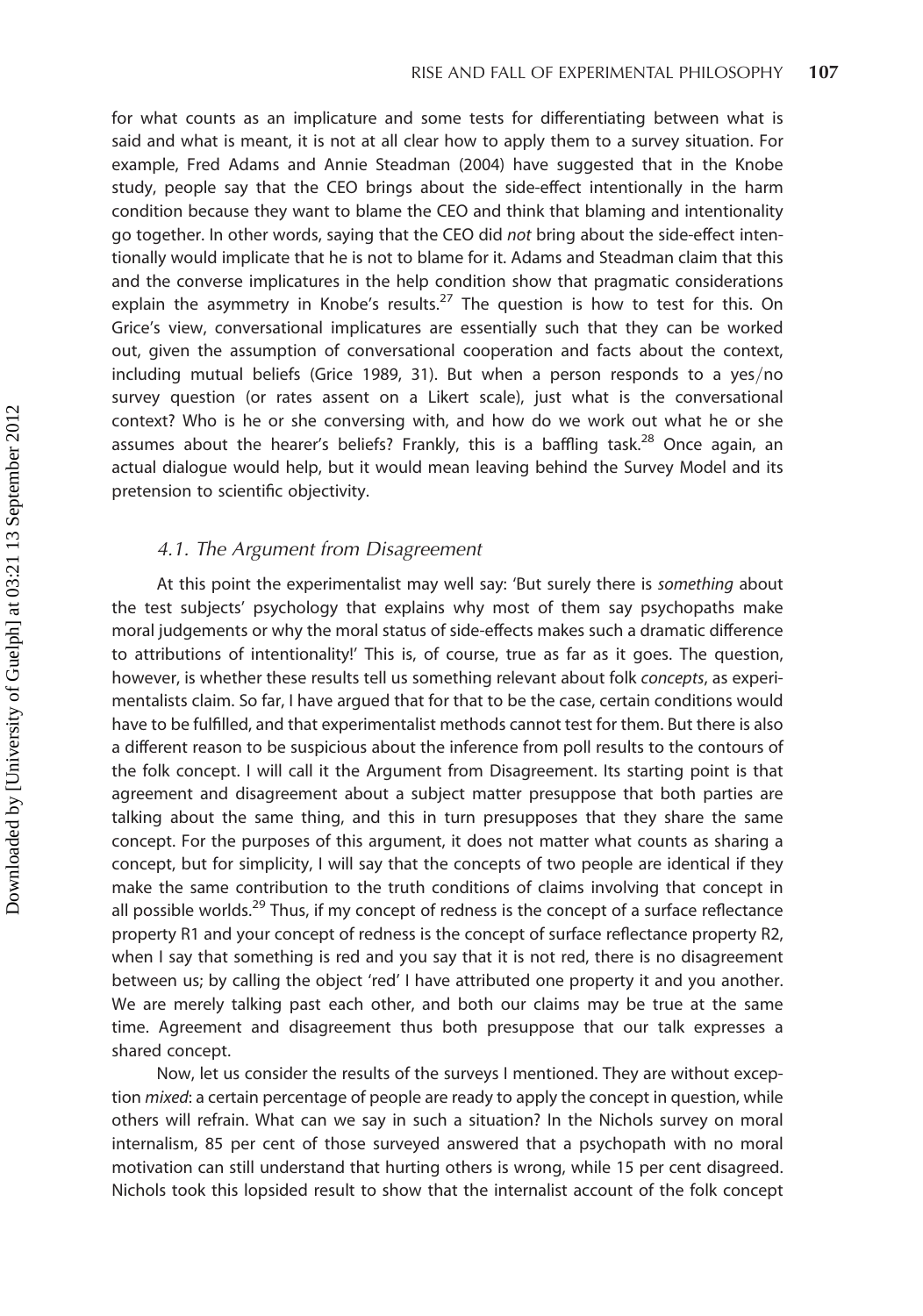for what counts as an implicature and some tests for differentiating between what is said and what is meant, it is not at all clear how to apply them to a survey situation. For example, Fred Adams and Annie Steadman (2004) have suggested that in the Knobe study, people say that the CEO brings about the side-effect intentionally in the harm condition because they want to blame the CEO and think that blaming and intentionality go together. In other words, saying that the CEO did not bring about the side-effect intentionally would implicate that he is not to blame for it. Adams and Steadman claim that this and the converse implicatures in the help condition show that pragmatic considerations explain the asymmetry in Knobe's results.<sup>27</sup> The question is how to test for this. On Grice's view, conversational implicatures are essentially such that they can be worked out, given the assumption of conversational cooperation and facts about the context, including mutual beliefs (Grice 1989, 31). But when a person responds to a yes/no survey question (or rates assent on a Likert scale), just what is the conversational context? Who is he or she conversing with, and how do we work out what he or she assumes about the hearer's beliefs? Frankly, this is a baffling task.<sup>28</sup> Once again, an actual dialogue would help, but it would mean leaving behind the Survey Model and its pretension to scientific objectivity.

#### 4.1. The Argument from Disagreement

At this point the experimentalist may well say: 'But surely there is something about the test subjects' psychology that explains why most of them say psychopaths make moral judgements or why the moral status of side-effects makes such a dramatic difference to attributions of intentionality!' This is, of course, true as far as it goes. The question, however, is whether these results tell us something relevant about folk *concepts*, as experimentalists claim. So far, I have argued that for that to be the case, certain conditions would have to be fulfilled, and that experimentalist methods cannot test for them. But there is also a different reason to be suspicious about the inference from poll results to the contours of the folk concept. I will call it the Argument from Disagreement. Its starting point is that agreement and disagreement about a subject matter presuppose that both parties are talking about the same thing, and this in turn presupposes that they share the same concept. For the purposes of this argument, it does not matter what counts as sharing a concept, but for simplicity, I will say that the concepts of two people are identical if they make the same contribution to the truth conditions of claims involving that concept in all possible worlds.<sup>29</sup> Thus, if my concept of redness is the concept of a surface reflectance property R1 and your concept of redness is the concept of surface reflectance property R2, when I say that something is red and you say that it is not red, there is no disagreement between us; by calling the object 'red' I have attributed one property it and you another. We are merely talking past each other, and both our claims may be true at the same time. Agreement and disagreement thus both presuppose that our talk expresses a shared concept.

Now, let us consider the results of the surveys I mentioned. They are without exception mixed: a certain percentage of people are ready to apply the concept in question, while others will refrain. What can we say in such a situation? In the Nichols survey on moral internalism, 85 per cent of those surveyed answered that a psychopath with no moral motivation can still understand that hurting others is wrong, while 15 per cent disagreed. Nichols took this lopsided result to show that the internalist account of the folk concept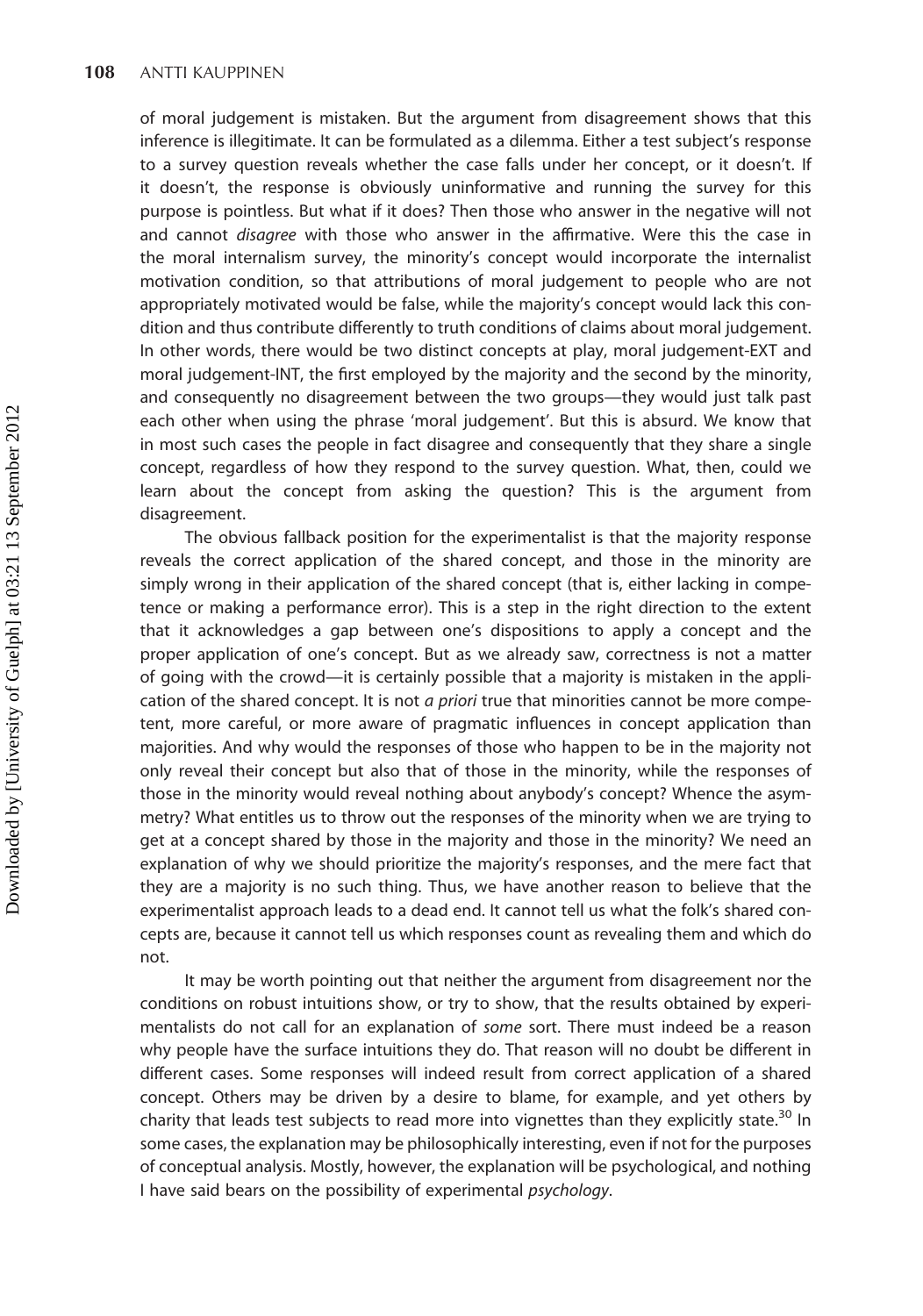of moral judgement is mistaken. But the argument from disagreement shows that this inference is illegitimate. It can be formulated as a dilemma. Either a test subject's response to a survey question reveals whether the case falls under her concept, or it doesn't. If it doesn't, the response is obviously uninformative and running the survey for this purpose is pointless. But what if it does? Then those who answer in the negative will not and cannot *disagree* with those who answer in the affirmative. Were this the case in the moral internalism survey, the minority's concept would incorporate the internalist motivation condition, so that attributions of moral judgement to people who are not appropriately motivated would be false, while the majority's concept would lack this condition and thus contribute differently to truth conditions of claims about moral judgement. In other words, there would be two distinct concepts at play, moral judgement-EXT and moral judgement-INT, the first employed by the majority and the second by the minority, and consequently no disagreement between the two groups—they would just talk past each other when using the phrase 'moral judgement'. But this is absurd. We know that in most such cases the people in fact disagree and consequently that they share a single concept, regardless of how they respond to the survey question. What, then, could we learn about the concept from asking the question? This is the argument from disagreement.

The obvious fallback position for the experimentalist is that the majority response reveals the correct application of the shared concept, and those in the minority are simply wrong in their application of the shared concept (that is, either lacking in competence or making a performance error). This is a step in the right direction to the extent that it acknowledges a gap between one's dispositions to apply a concept and the proper application of one's concept. But as we already saw, correctness is not a matter of going with the crowd—it is certainly possible that a majority is mistaken in the application of the shared concept. It is not a priori true that minorities cannot be more competent, more careful, or more aware of pragmatic influences in concept application than majorities. And why would the responses of those who happen to be in the majority not only reveal their concept but also that of those in the minority, while the responses of those in the minority would reveal nothing about anybody's concept? Whence the asymmetry? What entitles us to throw out the responses of the minority when we are trying to get at a concept shared by those in the majority and those in the minority? We need an explanation of why we should prioritize the majority's responses, and the mere fact that they are a majority is no such thing. Thus, we have another reason to believe that the experimentalist approach leads to a dead end. It cannot tell us what the folk's shared concepts are, because it cannot tell us which responses count as revealing them and which do not.

It may be worth pointing out that neither the argument from disagreement nor the conditions on robust intuitions show, or try to show, that the results obtained by experimentalists do not call for an explanation of some sort. There must indeed be a reason why people have the surface intuitions they do. That reason will no doubt be different in different cases. Some responses will indeed result from correct application of a shared concept. Others may be driven by a desire to blame, for example, and yet others by charity that leads test subjects to read more into vignettes than they explicitly state.<sup>30</sup> In some cases, the explanation may be philosophically interesting, even if not for the purposes of conceptual analysis. Mostly, however, the explanation will be psychological, and nothing I have said bears on the possibility of experimental psychology.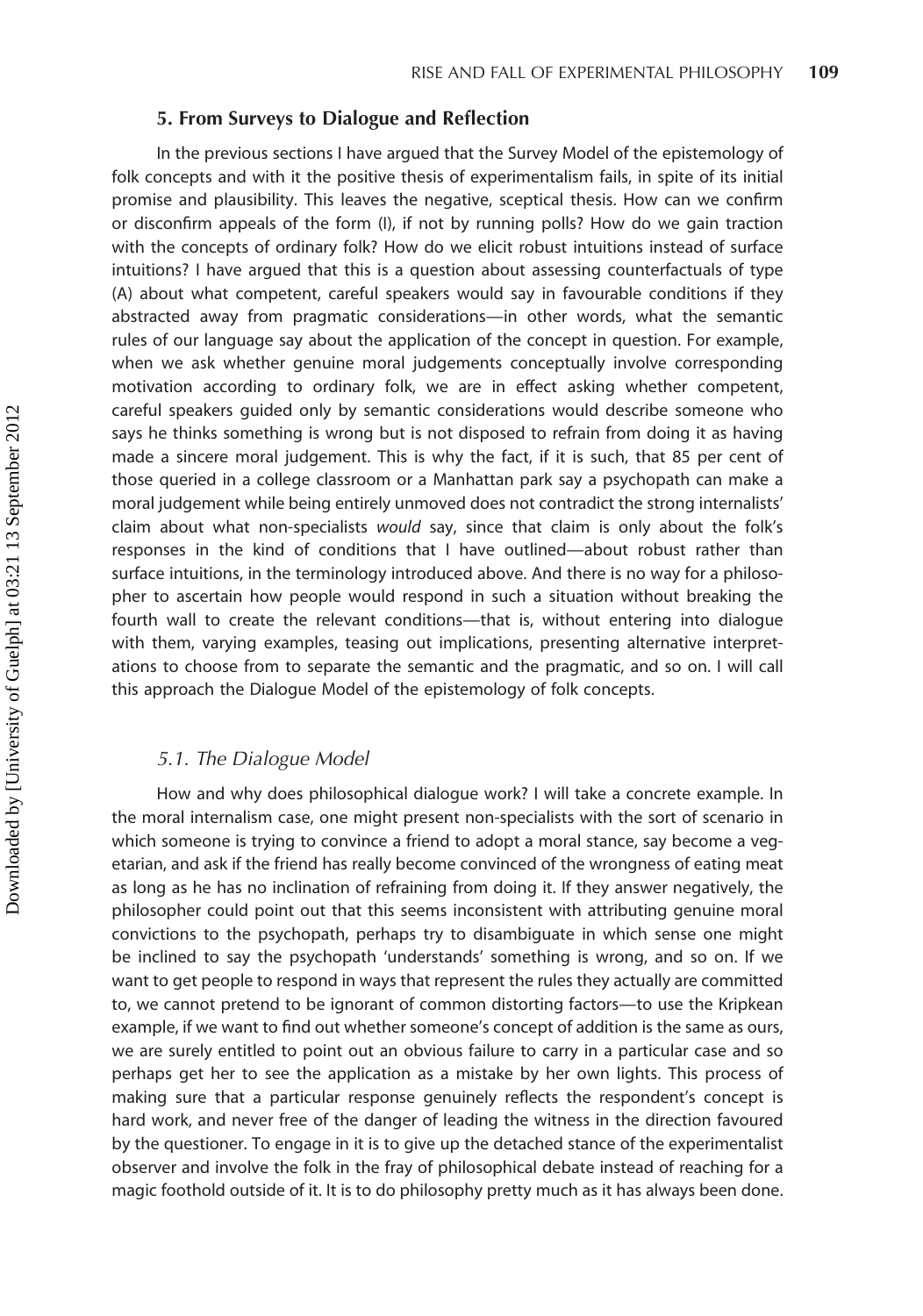#### 5. From Surveys to Dialogue and Reflection

In the previous sections I have argued that the Survey Model of the epistemology of folk concepts and with it the positive thesis of experimentalism fails, in spite of its initial promise and plausibility. This leaves the negative, sceptical thesis. How can we confirm or disconfirm appeals of the form (I), if not by running polls? How do we gain traction with the concepts of ordinary folk? How do we elicit robust intuitions instead of surface intuitions? I have argued that this is a question about assessing counterfactuals of type (A) about what competent, careful speakers would say in favourable conditions if they abstracted away from pragmatic considerations—in other words, what the semantic rules of our language say about the application of the concept in question. For example, when we ask whether genuine moral judgements conceptually involve corresponding motivation according to ordinary folk, we are in effect asking whether competent, careful speakers guided only by semantic considerations would describe someone who says he thinks something is wrong but is not disposed to refrain from doing it as having made a sincere moral judgement. This is why the fact, if it is such, that 85 per cent of those queried in a college classroom or a Manhattan park say a psychopath can make a moral judgement while being entirely unmoved does not contradict the strong internalists' claim about what non-specialists would say, since that claim is only about the folk's responses in the kind of conditions that I have outlined—about robust rather than surface intuitions, in the terminology introduced above. And there is no way for a philosopher to ascertain how people would respond in such a situation without breaking the fourth wall to create the relevant conditions—that is, without entering into dialogue with them, varying examples, teasing out implications, presenting alternative interpretations to choose from to separate the semantic and the pragmatic, and so on. I will call this approach the Dialogue Model of the epistemology of folk concepts.

#### 5.1. The Dialogue Model

How and why does philosophical dialogue work? I will take a concrete example. In the moral internalism case, one might present non-specialists with the sort of scenario in which someone is trying to convince a friend to adopt a moral stance, say become a vegetarian, and ask if the friend has really become convinced of the wrongness of eating meat as long as he has no inclination of refraining from doing it. If they answer negatively, the philosopher could point out that this seems inconsistent with attributing genuine moral convictions to the psychopath, perhaps try to disambiguate in which sense one might be inclined to say the psychopath 'understands' something is wrong, and so on. If we want to get people to respond in ways that represent the rules they actually are committed to, we cannot pretend to be ignorant of common distorting factors—to use the Kripkean example, if we want to find out whether someone's concept of addition is the same as ours, we are surely entitled to point out an obvious failure to carry in a particular case and so perhaps get her to see the application as a mistake by her own lights. This process of making sure that a particular response genuinely reflects the respondent's concept is hard work, and never free of the danger of leading the witness in the direction favoured by the questioner. To engage in it is to give up the detached stance of the experimentalist observer and involve the folk in the fray of philosophical debate instead of reaching for a magic foothold outside of it. It is to do philosophy pretty much as it has always been done.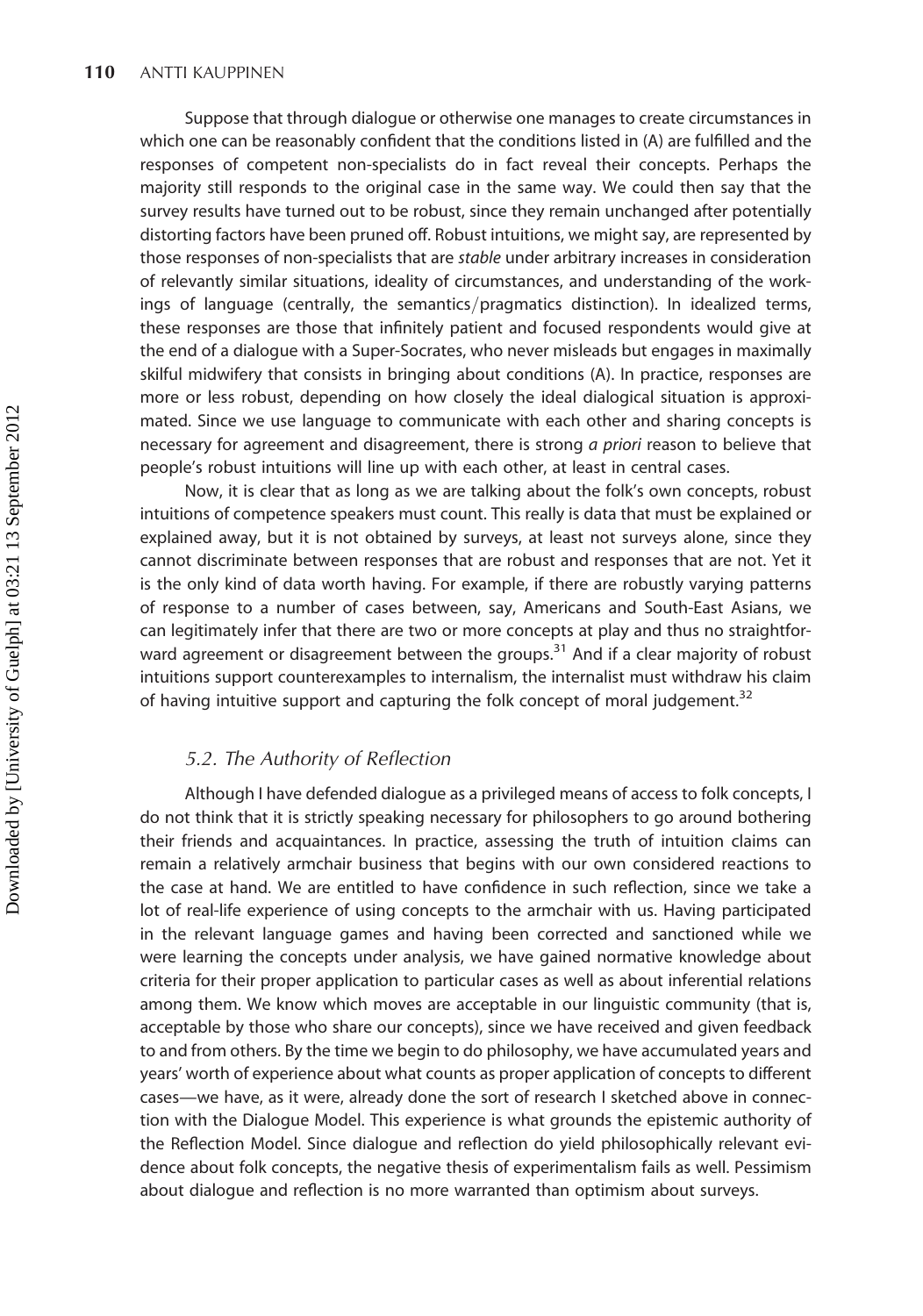Suppose that through dialogue or otherwise one manages to create circumstances in which one can be reasonably confident that the conditions listed in (A) are fulfilled and the responses of competent non-specialists do in fact reveal their concepts. Perhaps the majority still responds to the original case in the same way. We could then say that the survey results have turned out to be robust, since they remain unchanged after potentially distorting factors have been pruned off. Robust intuitions, we might say, are represented by those responses of non-specialists that are *stable* under arbitrary increases in consideration of relevantly similar situations, ideality of circumstances, and understanding of the workings of language (centrally, the semantics/pragmatics distinction). In idealized terms, these responses are those that infinitely patient and focused respondents would give at the end of a dialogue with a Super-Socrates, who never misleads but engages in maximally skilful midwifery that consists in bringing about conditions (A). In practice, responses are more or less robust, depending on how closely the ideal dialogical situation is approximated. Since we use language to communicate with each other and sharing concepts is necessary for agreement and disagreement, there is strong a priori reason to believe that people's robust intuitions will line up with each other, at least in central cases.

Now, it is clear that as long as we are talking about the folk's own concepts, robust intuitions of competence speakers must count. This really is data that must be explained or explained away, but it is not obtained by surveys, at least not surveys alone, since they cannot discriminate between responses that are robust and responses that are not. Yet it is the only kind of data worth having. For example, if there are robustly varying patterns of response to a number of cases between, say, Americans and South-East Asians, we can legitimately infer that there are two or more concepts at play and thus no straightforward agreement or disagreement between the groups.<sup>31</sup> And if a clear majority of robust intuitions support counterexamples to internalism, the internalist must withdraw his claim of having intuitive support and capturing the folk concept of moral judgement.<sup>32</sup>

#### 5.2. The Authority of Reflection

Although I have defended dialogue as a privileged means of access to folk concepts, I do not think that it is strictly speaking necessary for philosophers to go around bothering their friends and acquaintances. In practice, assessing the truth of intuition claims can remain a relatively armchair business that begins with our own considered reactions to the case at hand. We are entitled to have confidence in such reflection, since we take a lot of real-life experience of using concepts to the armchair with us. Having participated in the relevant language games and having been corrected and sanctioned while we were learning the concepts under analysis, we have gained normative knowledge about criteria for their proper application to particular cases as well as about inferential relations among them. We know which moves are acceptable in our linguistic community (that is, acceptable by those who share our concepts), since we have received and given feedback to and from others. By the time we begin to do philosophy, we have accumulated years and years' worth of experience about what counts as proper application of concepts to different cases—we have, as it were, already done the sort of research I sketched above in connection with the Dialogue Model. This experience is what grounds the epistemic authority of the Reflection Model. Since dialogue and reflection do yield philosophically relevant evidence about folk concepts, the negative thesis of experimentalism fails as well. Pessimism about dialogue and reflection is no more warranted than optimism about surveys.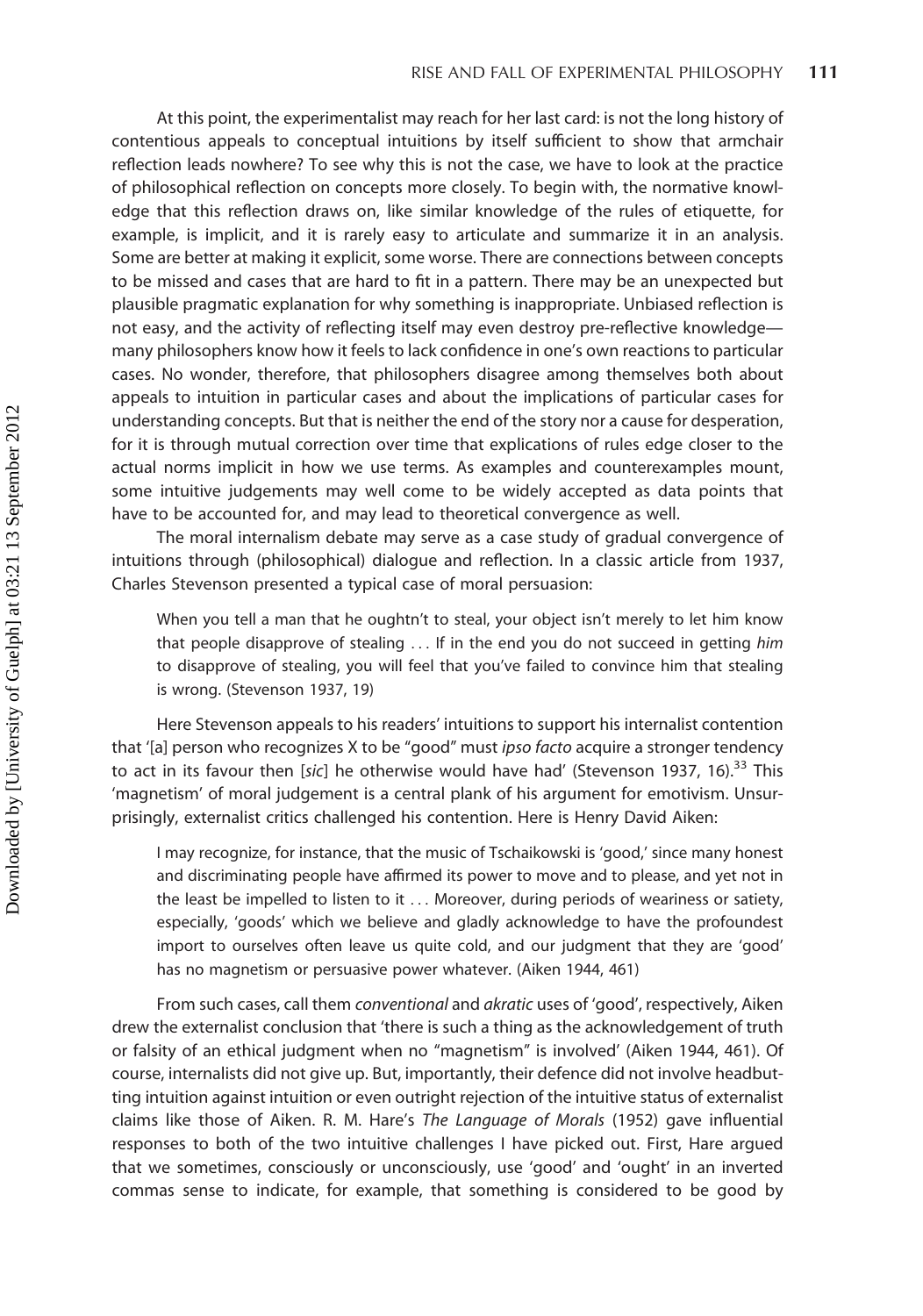At this point, the experimentalist may reach for her last card: is not the long history of contentious appeals to conceptual intuitions by itself sufficient to show that armchair reflection leads nowhere? To see why this is not the case, we have to look at the practice of philosophical reflection on concepts more closely. To begin with, the normative knowledge that this reflection draws on, like similar knowledge of the rules of etiquette, for example, is implicit, and it is rarely easy to articulate and summarize it in an analysis. Some are better at making it explicit, some worse. There are connections between concepts to be missed and cases that are hard to fit in a pattern. There may be an unexpected but plausible pragmatic explanation for why something is inappropriate. Unbiased reflection is not easy, and the activity of reflecting itself may even destroy pre-reflective knowledge many philosophers know how it feels to lack confidence in one's own reactions to particular cases. No wonder, therefore, that philosophers disagree among themselves both about appeals to intuition in particular cases and about the implications of particular cases for understanding concepts. But that is neither the end of the story nor a cause for desperation, for it is through mutual correction over time that explications of rules edge closer to the actual norms implicit in how we use terms. As examples and counterexamples mount, some intuitive judgements may well come to be widely accepted as data points that have to be accounted for, and may lead to theoretical convergence as well.

The moral internalism debate may serve as a case study of gradual convergence of intuitions through (philosophical) dialogue and reflection. In a classic article from 1937, Charles Stevenson presented a typical case of moral persuasion:

When you tell a man that he oughtn't to steal, your object isn't merely to let him know that people disapprove of stealing ... If in the end you do not succeed in getting him to disapprove of stealing, you will feel that you've failed to convince him that stealing is wrong. (Stevenson 1937, 19)

Here Stevenson appeals to his readers' intuitions to support his internalist contention that '[a] person who recognizes X to be "good" must ipso facto acquire a stronger tendency to act in its favour then [sic] he otherwise would have had' (Stevenson 1937, 16).<sup>33</sup> This 'magnetism' of moral judgement is a central plank of his argument for emotivism. Unsurprisingly, externalist critics challenged his contention. Here is Henry David Aiken:

I may recognize, for instance, that the music of Tschaikowski is 'good,' since many honest and discriminating people have affirmed its power to move and to please, and yet not in the least be impelled to listen to it ... Moreover, during periods of weariness or satiety, especially, 'goods' which we believe and gladly acknowledge to have the profoundest import to ourselves often leave us quite cold, and our judgment that they are 'good' has no magnetism or persuasive power whatever. (Aiken 1944, 461)

From such cases, call them conventional and akratic uses of 'good', respectively, Aiken drew the externalist conclusion that 'there is such a thing as the acknowledgement of truth or falsity of an ethical judgment when no "magnetism" is involved' (Aiken 1944, 461). Of course, internalists did not give up. But, importantly, their defence did not involve headbutting intuition against intuition or even outright rejection of the intuitive status of externalist claims like those of Aiken. R. M. Hare's The Language of Morals (1952) gave influential responses to both of the two intuitive challenges I have picked out. First, Hare argued that we sometimes, consciously or unconsciously, use 'good' and 'ought' in an inverted commas sense to indicate, for example, that something is considered to be good by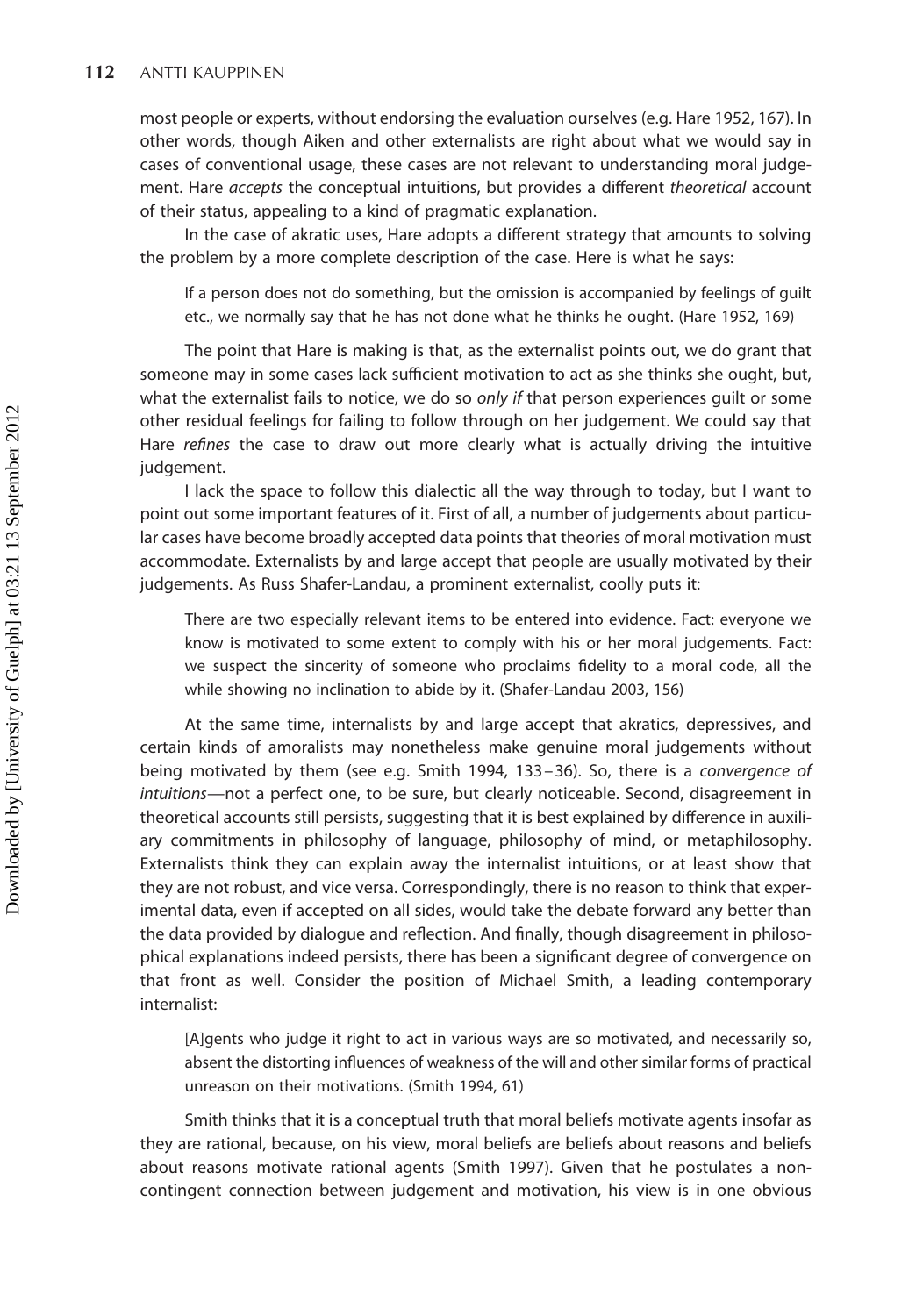most people or experts, without endorsing the evaluation ourselves (e.g. Hare 1952, 167). In other words, though Aiken and other externalists are right about what we would say in cases of conventional usage, these cases are not relevant to understanding moral judgement. Hare accepts the conceptual intuitions, but provides a different theoretical account of their status, appealing to a kind of pragmatic explanation.

In the case of akratic uses, Hare adopts a different strategy that amounts to solving the problem by a more complete description of the case. Here is what he says:

If a person does not do something, but the omission is accompanied by feelings of guilt etc., we normally say that he has not done what he thinks he ought. (Hare 1952, 169)

The point that Hare is making is that, as the externalist points out, we do grant that someone may in some cases lack sufficient motivation to act as she thinks she ought, but, what the externalist fails to notice, we do so only if that person experiences quilt or some other residual feelings for failing to follow through on her judgement. We could say that Hare refines the case to draw out more clearly what is actually driving the intuitive judgement.

I lack the space to follow this dialectic all the way through to today, but I want to point out some important features of it. First of all, a number of judgements about particular cases have become broadly accepted data points that theories of moral motivation must accommodate. Externalists by and large accept that people are usually motivated by their judgements. As Russ Shafer-Landau, a prominent externalist, coolly puts it:

There are two especially relevant items to be entered into evidence. Fact: everyone we know is motivated to some extent to comply with his or her moral judgements. Fact: we suspect the sincerity of someone who proclaims fidelity to a moral code, all the while showing no inclination to abide by it. (Shafer-Landau 2003, 156)

At the same time, internalists by and large accept that akratics, depressives, and certain kinds of amoralists may nonetheless make genuine moral judgements without being motivated by them (see e.g. Smith 1994, 133–36). So, there is a convergence of intuitions—not a perfect one, to be sure, but clearly noticeable. Second, disagreement in theoretical accounts still persists, suggesting that it is best explained by difference in auxiliary commitments in philosophy of language, philosophy of mind, or metaphilosophy. Externalists think they can explain away the internalist intuitions, or at least show that they are not robust, and vice versa. Correspondingly, there is no reason to think that experimental data, even if accepted on all sides, would take the debate forward any better than the data provided by dialogue and reflection. And finally, though disagreement in philosophical explanations indeed persists, there has been a significant degree of convergence on that front as well. Consider the position of Michael Smith, a leading contemporary internalist:

[A]gents who judge it right to act in various ways are so motivated, and necessarily so, absent the distorting influences of weakness of the will and other similar forms of practical unreason on their motivations. (Smith 1994, 61)

Smith thinks that it is a conceptual truth that moral beliefs motivate agents insofar as they are rational, because, on his view, moral beliefs are beliefs about reasons and beliefs about reasons motivate rational agents (Smith 1997). Given that he postulates a noncontingent connection between judgement and motivation, his view is in one obvious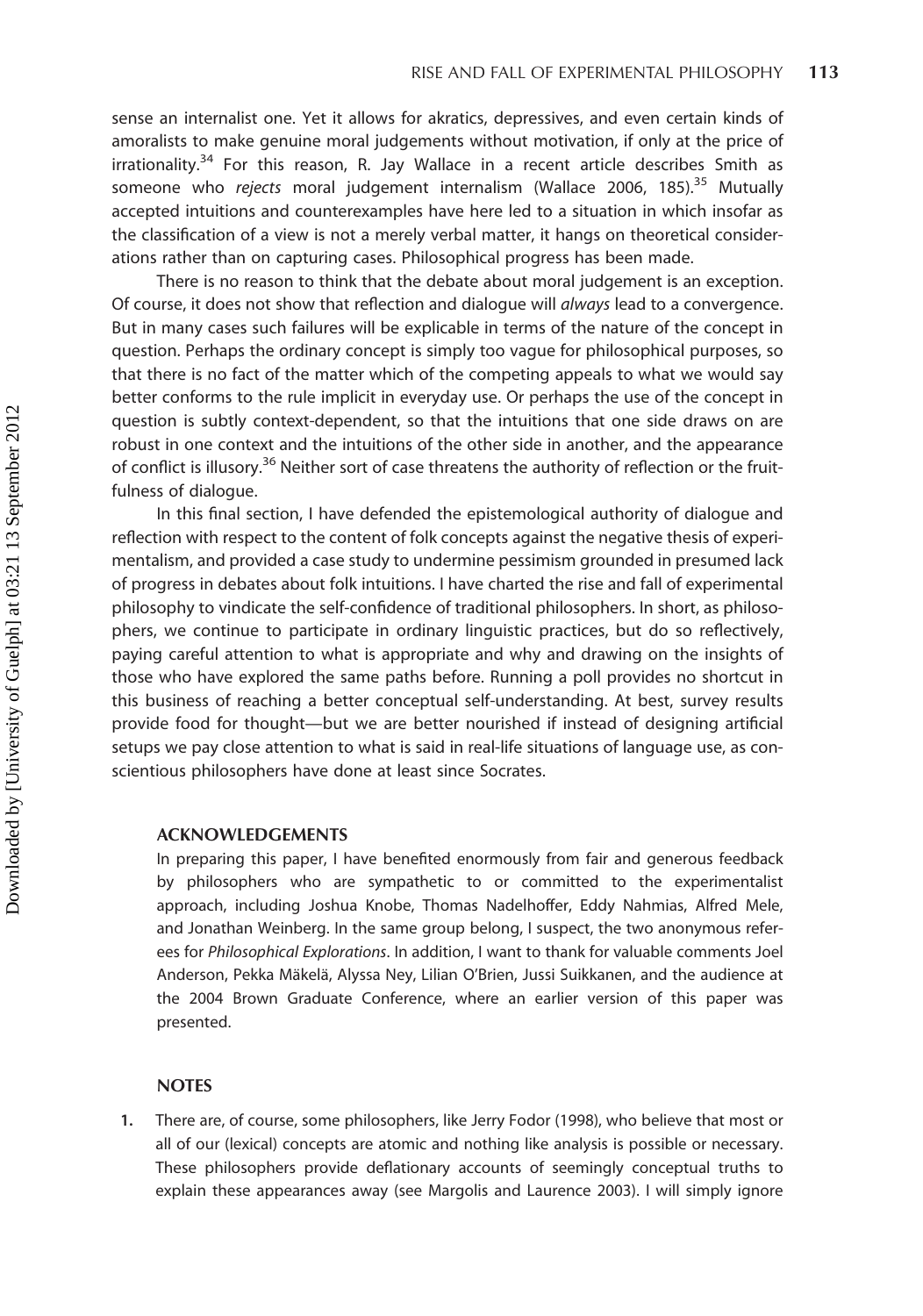sense an internalist one. Yet it allows for akratics, depressives, and even certain kinds of amoralists to make genuine moral judgements without motivation, if only at the price of irrationality.<sup>34</sup> For this reason, R. Jay Wallace in a recent article describes Smith as someone who rejects moral judgement internalism (Wallace 2006, 185).<sup>35</sup> Mutually accepted intuitions and counterexamples have here led to a situation in which insofar as the classification of a view is not a merely verbal matter, it hangs on theoretical considerations rather than on capturing cases. Philosophical progress has been made.

There is no reason to think that the debate about moral judgement is an exception. Of course, it does not show that reflection and dialogue will always lead to a convergence. But in many cases such failures will be explicable in terms of the nature of the concept in question. Perhaps the ordinary concept is simply too vague for philosophical purposes, so that there is no fact of the matter which of the competing appeals to what we would say better conforms to the rule implicit in everyday use. Or perhaps the use of the concept in question is subtly context-dependent, so that the intuitions that one side draws on are robust in one context and the intuitions of the other side in another, and the appearance of conflict is illusory.<sup>36</sup> Neither sort of case threatens the authority of reflection or the fruitfulness of dialogue.

In this final section, I have defended the epistemological authority of dialogue and reflection with respect to the content of folk concepts against the negative thesis of experimentalism, and provided a case study to undermine pessimism grounded in presumed lack of progress in debates about folk intuitions. I have charted the rise and fall of experimental philosophy to vindicate the self-confidence of traditional philosophers. In short, as philosophers, we continue to participate in ordinary linguistic practices, but do so reflectively, paying careful attention to what is appropriate and why and drawing on the insights of those who have explored the same paths before. Running a poll provides no shortcut in this business of reaching a better conceptual self-understanding. At best, survey results provide food for thought—but we are better nourished if instead of designing artificial setups we pay close attention to what is said in real-life situations of language use, as conscientious philosophers have done at least since Socrates.

#### ACKNOWLEDGEMENTS

In preparing this paper, I have benefited enormously from fair and generous feedback by philosophers who are sympathetic to or committed to the experimentalist approach, including Joshua Knobe, Thomas Nadelhoffer, Eddy Nahmias, Alfred Mele, and Jonathan Weinberg. In the same group belong, I suspect, the two anonymous referees for Philosophical Explorations. In addition, I want to thank for valuable comments Joel Anderson, Pekka Mäkelä, Alyssa Ney, Lilian O'Brien, Jussi Suikkanen, and the audience at the 2004 Brown Graduate Conference, where an earlier version of this paper was presented.

#### **NOTES**

1. There are, of course, some philosophers, like Jerry Fodor (1998), who believe that most or all of our (lexical) concepts are atomic and nothing like analysis is possible or necessary. These philosophers provide deflationary accounts of seemingly conceptual truths to explain these appearances away (see Margolis and Laurence 2003). I will simply ignore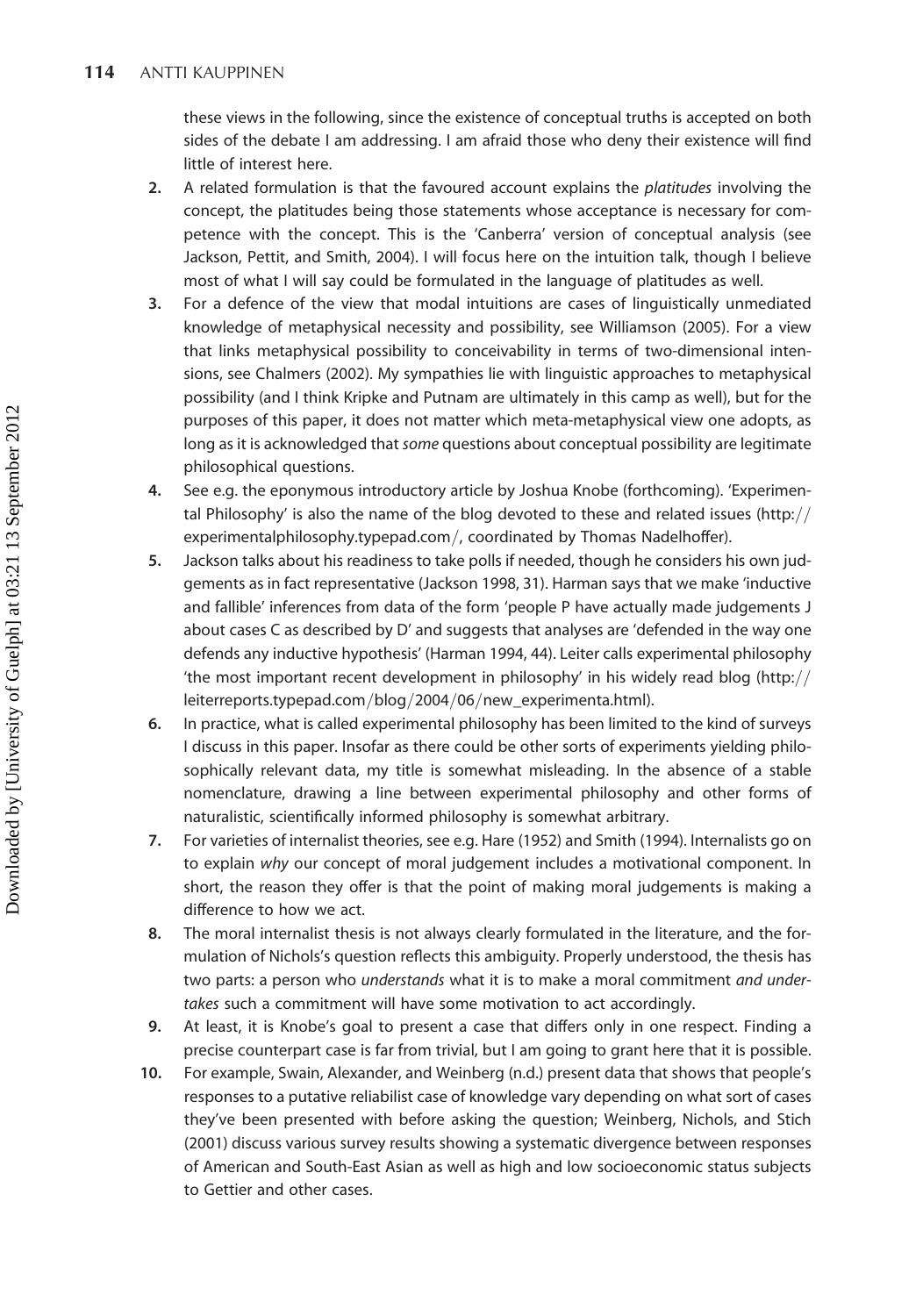these views in the following, since the existence of conceptual truths is accepted on both sides of the debate I am addressing. I am afraid those who deny their existence will find little of interest here.

- 2. A related formulation is that the favoured account explains the *platitudes* involving the concept, the platitudes being those statements whose acceptance is necessary for competence with the concept. This is the 'Canberra' version of conceptual analysis (see Jackson, Pettit, and Smith, 2004). I will focus here on the intuition talk, though I believe most of what I will say could be formulated in the language of platitudes as well.
- 3. For a defence of the view that modal intuitions are cases of linguistically unmediated knowledge of metaphysical necessity and possibility, see Williamson (2005). For a view that links metaphysical possibility to conceivability in terms of two-dimensional intensions, see Chalmers (2002). My sympathies lie with linguistic approaches to metaphysical possibility (and I think Kripke and Putnam are ultimately in this camp as well), but for the purposes of this paper, it does not matter which meta-metaphysical view one adopts, as long as it is acknowledged that *some* questions about conceptual possibility are legitimate philosophical questions.
- 4. See e.g. the eponymous introductory article by Joshua Knobe (forthcoming). 'Experimental Philosophy' is also the name of the blog devoted to these and related issues (http:// experimentalphilosophy.typepad.com/, coordinated by Thomas Nadelhoffer).
- 5. Jackson talks about his readiness to take polls if needed, though he considers his own judgements as in fact representative (Jackson 1998, 31). Harman says that we make 'inductive and fallible' inferences from data of the form 'people P have actually made judgements J about cases C as described by D' and suggests that analyses are 'defended in the way one defends any inductive hypothesis' (Harman 1994, 44). Leiter calls experimental philosophy 'the most important recent development in philosophy' in his widely read blog (http:// leiterreports.typepad.com/blog/2004/06/new\_experimenta.html).
- 6. In practice, what is called experimental philosophy has been limited to the kind of surveys I discuss in this paper. Insofar as there could be other sorts of experiments yielding philosophically relevant data, my title is somewhat misleading. In the absence of a stable nomenclature, drawing a line between experimental philosophy and other forms of naturalistic, scientifically informed philosophy is somewhat arbitrary.
- 7. For varieties of internalist theories, see e.g. Hare (1952) and Smith (1994). Internalists go on to explain why our concept of moral judgement includes a motivational component. In short, the reason they offer is that the point of making moral judgements is making a difference to how we act.
- 8. The moral internalist thesis is not always clearly formulated in the literature, and the formulation of Nichols's question reflects this ambiguity. Properly understood, the thesis has two parts: a person who *understands* what it is to make a moral commitment *and under*takes such a commitment will have some motivation to act accordingly.
- 9. At least, it is Knobe's goal to present a case that differs only in one respect. Finding a precise counterpart case is far from trivial, but I am going to grant here that it is possible.
- 10. For example, Swain, Alexander, and Weinberg (n.d.) present data that shows that people's responses to a putative reliabilist case of knowledge vary depending on what sort of cases they've been presented with before asking the question; Weinberg, Nichols, and Stich (2001) discuss various survey results showing a systematic divergence between responses of American and South-East Asian as well as high and low socioeconomic status subjects to Gettier and other cases.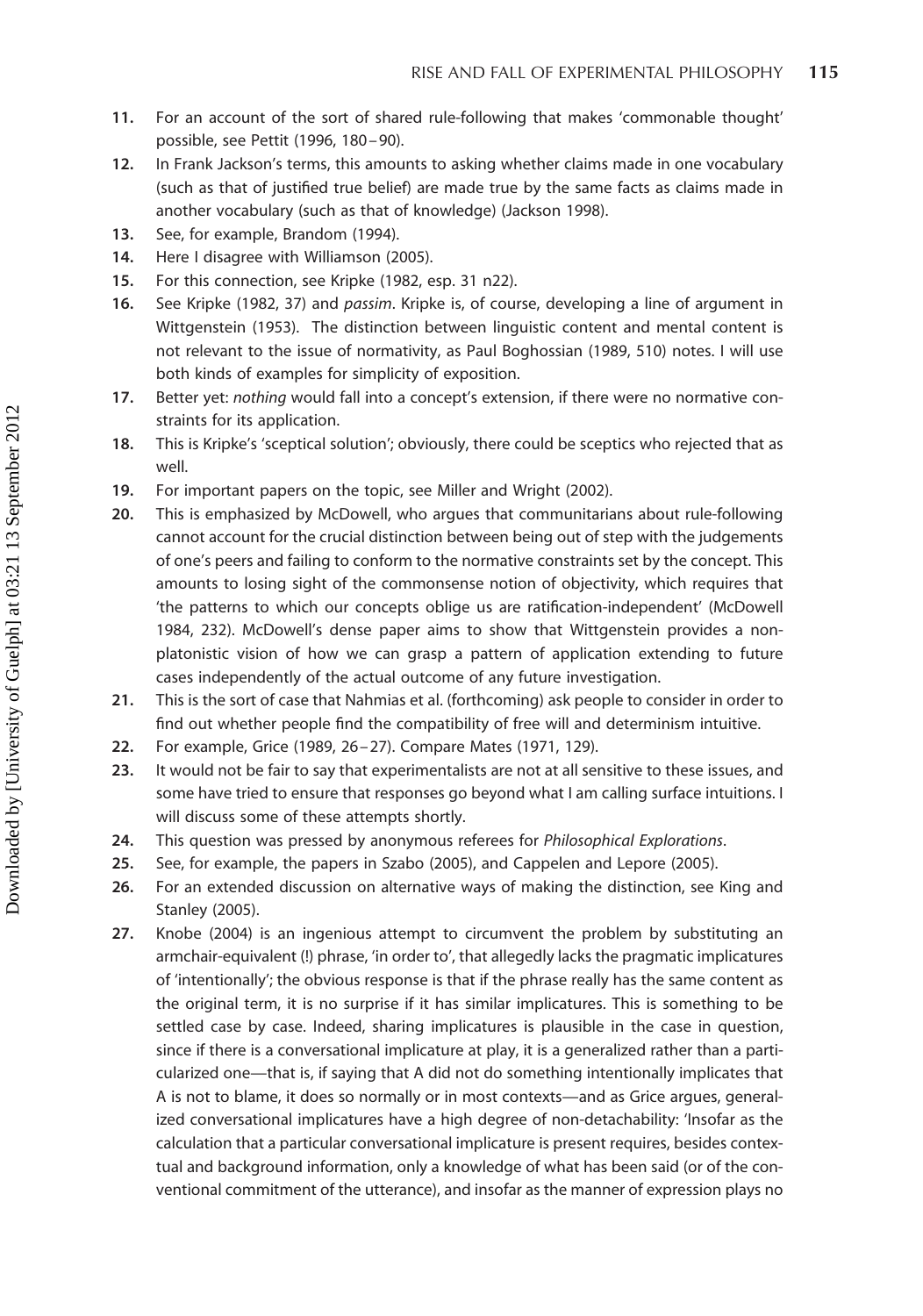- 11. For an account of the sort of shared rule-following that makes 'commonable thought' possible, see Pettit (1996, 180 –90).
- 12. In Frank Jackson's terms, this amounts to asking whether claims made in one vocabulary (such as that of justified true belief) are made true by the same facts as claims made in another vocabulary (such as that of knowledge) (Jackson 1998).
- 13. See, for example, Brandom (1994).
- 14. Here I disagree with Williamson (2005).
- 15. For this connection, see Kripke (1982, esp. 31 n22).
- 16. See Kripke (1982, 37) and passim. Kripke is, of course, developing a line of argument in Wittgenstein (1953). The distinction between linguistic content and mental content is not relevant to the issue of normativity, as Paul Boghossian (1989, 510) notes. I will use both kinds of examples for simplicity of exposition.
- 17. Better yet: nothing would fall into a concept's extension, if there were no normative constraints for its application.
- 18. This is Kripke's 'sceptical solution'; obviously, there could be sceptics who rejected that as well.
- 19. For important papers on the topic, see Miller and Wright (2002).
- 20. This is emphasized by McDowell, who argues that communitarians about rule-following cannot account for the crucial distinction between being out of step with the judgements of one's peers and failing to conform to the normative constraints set by the concept. This amounts to losing sight of the commonsense notion of objectivity, which requires that 'the patterns to which our concepts oblige us are ratification-independent' (McDowell 1984, 232). McDowell's dense paper aims to show that Wittgenstein provides a nonplatonistic vision of how we can grasp a pattern of application extending to future cases independently of the actual outcome of any future investigation.
- 21. This is the sort of case that Nahmias et al. (forthcoming) ask people to consider in order to find out whether people find the compatibility of free will and determinism intuitive.
- 22. For example, Grice (1989, 26–27). Compare Mates (1971, 129).
- 23. It would not be fair to say that experimentalists are not at all sensitive to these issues, and some have tried to ensure that responses go beyond what I am calling surface intuitions. I will discuss some of these attempts shortly.
- 24. This question was pressed by anonymous referees for Philosophical Explorations.
- 25. See, for example, the papers in Szabo (2005), and Cappelen and Lepore (2005).
- 26. For an extended discussion on alternative ways of making the distinction, see King and Stanley (2005).
- 27. Knobe (2004) is an ingenious attempt to circumvent the problem by substituting an armchair-equivalent (!) phrase, 'in order to', that allegedly lacks the pragmatic implicatures of 'intentionally'; the obvious response is that if the phrase really has the same content as the original term, it is no surprise if it has similar implicatures. This is something to be settled case by case. Indeed, sharing implicatures is plausible in the case in question, since if there is a conversational implicature at play, it is a generalized rather than a particularized one—that is, if saying that A did not do something intentionally implicates that A is not to blame, it does so normally or in most contexts—and as Grice argues, generalized conversational implicatures have a high degree of non-detachability: 'Insofar as the calculation that a particular conversational implicature is present requires, besides contextual and background information, only a knowledge of what has been said (or of the conventional commitment of the utterance), and insofar as the manner of expression plays no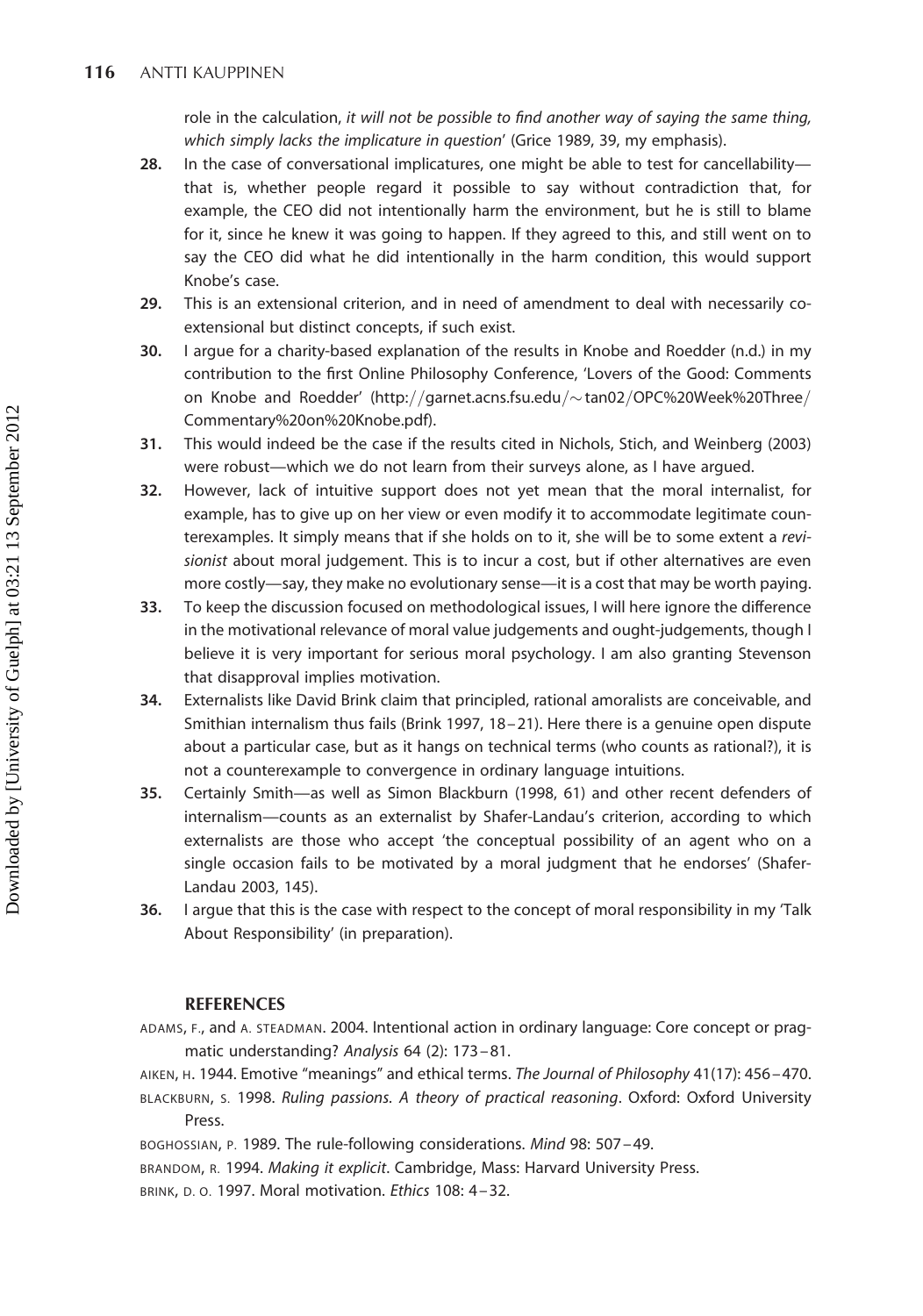role in the calculation, it will not be possible to find another way of saying the same thing, which simply lacks the implicature in question' (Grice 1989, 39, my emphasis).

- 28. In the case of conversational implicatures, one might be able to test for cancellabilitythat is, whether people regard it possible to say without contradiction that, for example, the CEO did not intentionally harm the environment, but he is still to blame for it, since he knew it was going to happen. If they agreed to this, and still went on to say the CEO did what he did intentionally in the harm condition, this would support Knobe's case.
- 29. This is an extensional criterion, and in need of amendment to deal with necessarily coextensional but distinct concepts, if such exist.
- 30. I argue for a charity-based explanation of the results in Knobe and Roedder (n.d.) in my contribution to the first Online Philosophy Conference, 'Lovers of the Good: Comments on Knobe and Roedder' (http://garnet.acns.fsu.edu/ $\sim$ tan02/OPC%20Week%20Three/ Commentary%20on%20Knobe.pdf).
- 31. This would indeed be the case if the results cited in Nichols, Stich, and Weinberg (2003) were robust—which we do not learn from their surveys alone, as I have argued.
- 32. However, lack of intuitive support does not yet mean that the moral internalist, for example, has to give up on her view or even modify it to accommodate legitimate counterexamples. It simply means that if she holds on to it, she will be to some extent a revisionist about moral judgement. This is to incur a cost, but if other alternatives are even more costly—say, they make no evolutionary sense—it is a cost that may be worth paying.
- 33. To keep the discussion focused on methodological issues, I will here ignore the difference in the motivational relevance of moral value judgements and ought-judgements, though I believe it is very important for serious moral psychology. I am also granting Stevenson that disapproval implies motivation.
- 34. Externalists like David Brink claim that principled, rational amoralists are conceivable, and Smithian internalism thus fails (Brink 1997, 18–21). Here there is a genuine open dispute about a particular case, but as it hangs on technical terms (who counts as rational?), it is not a counterexample to convergence in ordinary language intuitions.
- 35. Certainly Smith—as well as Simon Blackburn (1998, 61) and other recent defenders of internalism—counts as an externalist by Shafer-Landau's criterion, according to which externalists are those who accept 'the conceptual possibility of an agent who on a single occasion fails to be motivated by a moral judgment that he endorses' (Shafer-Landau 2003, 145).
- 36. I argue that this is the case with respect to the concept of moral responsibility in my 'Talk About Responsibility' (in preparation).

#### **REFERENCES**

ADAMS, F., and A. STEADMAN. 2004. Intentional action in ordinary language: Core concept or pragmatic understanding? Analysis 64 (2): 173 –81.

AIKEN, H. 1944. Emotive "meanings" and ethical terms. The Journal of Philosophy 41(17): 456 –470. BLACKBURN, S. 1998. Ruling passions. A theory of practical reasoning. Oxford: Oxford University Press.

BOGHOSSIAN, P. 1989. The rule-following considerations. Mind 98: 507-49.

BRANDOM, R. 1994. Making it explicit. Cambridge, Mass: Harvard University Press.

BRINK, D. O. 1997. Moral motivation. Ethics 108: 4 –32.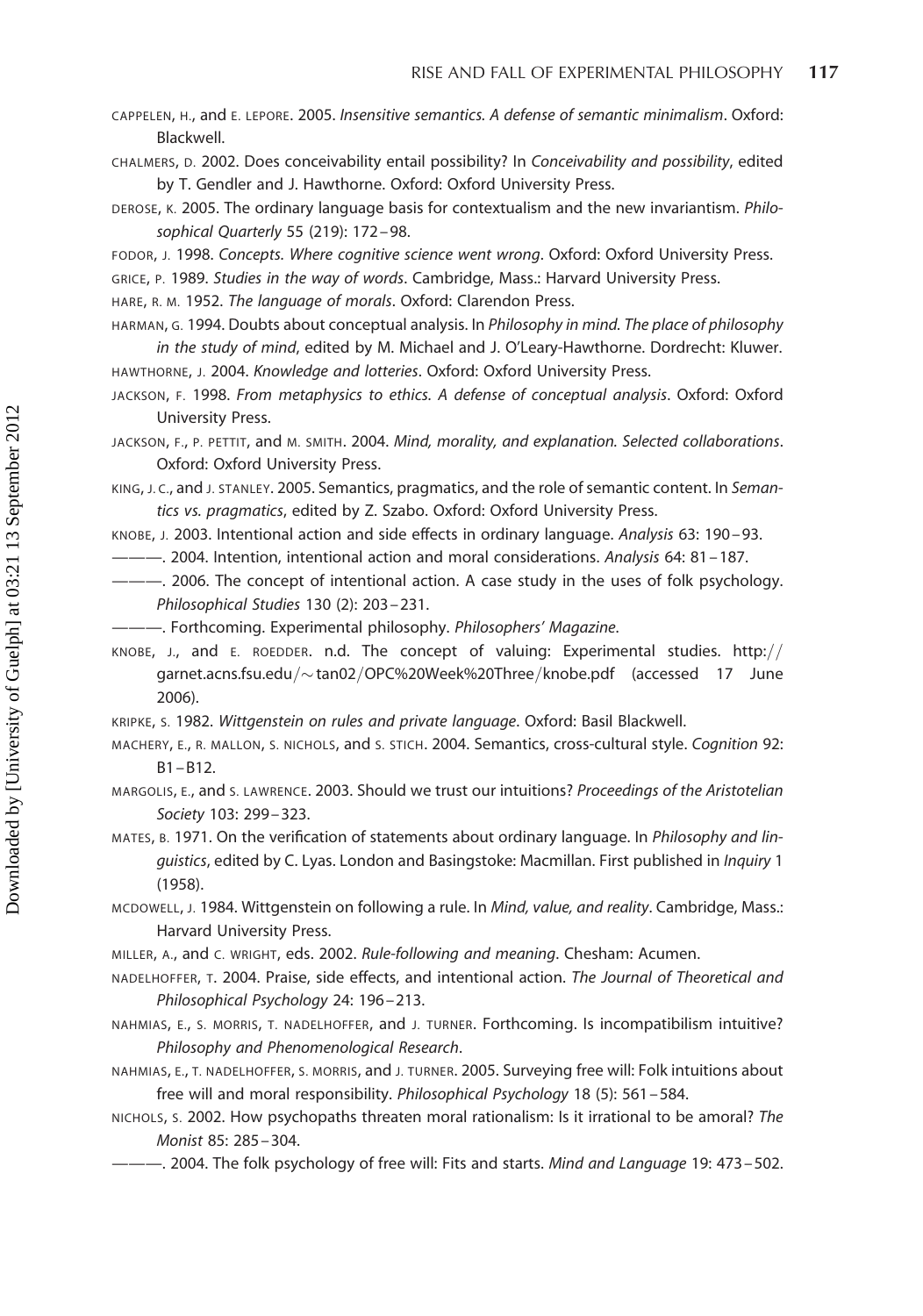CAPPELEN, H., and E. LEPORE. 2005. Insensitive semantics. A defense of semantic minimalism. Oxford: **Blackwell** 

CHALMERS, D. 2002. Does conceivability entail possibility? In Conceivability and possibility, edited by T. Gendler and J. Hawthorne. Oxford: Oxford University Press.

DEROSE, K. 2005. The ordinary language basis for contextualism and the new invariantism. Philosophical Quarterly 55 (219): 172 –98.

FODOR, J. 1998. Concepts. Where cognitive science went wrong. Oxford: Oxford University Press. GRICE, P. 1989. Studies in the way of words. Cambridge, Mass.: Harvard University Press.

HARE, R. M. 1952. The language of morals. Oxford: Clarendon Press.

HARMAN, G. 1994. Doubts about conceptual analysis. In Philosophy in mind. The place of philosophy in the study of mind, edited by M. Michael and J. O'Leary-Hawthorne. Dordrecht: Kluwer. HAWTHORNE, J. 2004. Knowledge and lotteries. Oxford: Oxford University Press.

JACKSON, F. 1998. From metaphysics to ethics. A defense of conceptual analysis. Oxford: Oxford University Press.

JACKSON, F., P. PETTIT, and M. SMITH. 2004. Mind, morality, and explanation. Selected collaborations. Oxford: Oxford University Press.

KING, J. C., and J. STANLEY. 2005. Semantics, pragmatics, and the role of semantic content. In Semantics vs. pragmatics, edited by Z. Szabo. Oxford: Oxford University Press.

KNOBE, J. 2003. Intentional action and side effects in ordinary language. Analysis 63: 190 –93.

- ———. 2004. Intention, intentional action and moral considerations. Analysis 64: 81–187.
- ———. 2006. The concept of intentional action. A case study in the uses of folk psychology. Philosophical Studies 130 (2): 203 –231.
- ———. Forthcoming. Experimental philosophy. Philosophers' Magazine.
- KNOBE, J., and E. ROEDDER. n.d. The concept of valuing: Experimental studies. http:// garnet.acns.fsu.edu/~tan02/OPC%20Week%20Three/knobe.pdf (accessed 17 June 2006).

KRIPKE, S. 1982. Wittgenstein on rules and private language. Oxford: Basil Blackwell.

- MACHERY, E., R. MALLON, S. NICHOLS, and S. STICH. 2004. Semantics, cross-cultural style. Cognition 92: B1–B12.
- MARGOLIS, E., and S. LAWRENCE. 2003. Should we trust our intuitions? Proceedings of the Aristotelian Society 103: 299 –323.
- MATES, B. 1971. On the verification of statements about ordinary language. In Philosophy and linguistics, edited by C. Lyas. London and Basingstoke: Macmillan. First published in Inquiry 1 (1958).

MCDOWELL, J. 1984. Wittgenstein on following a rule. In Mind, value, and reality. Cambridge, Mass.: Harvard University Press.

MILLER, A., and C. WRIGHT, eds. 2002. Rule-following and meaning. Chesham: Acumen.

NADELHOFFER, T. 2004. Praise, side effects, and intentional action. The Journal of Theoretical and Philosophical Psychology 24: 196-213.

NAHMIAS, E., S. MORRIS, T. NADELHOFFER, and J. TURNER. Forthcoming. Is incompatibilism intuitive? Philosophy and Phenomenological Research.

NAHMIAS, E., T. NADELHOFFER, S. MORRIS, and J. TURNER. 2005. Surveying free will: Folk intuitions about free will and moral responsibility. Philosophical Psychology 18 (5): 561 –584.

NICHOLS, S. 2002. How psychopaths threaten moral rationalism: Is it irrational to be amoral? The Monist 85: 285 –304.

---------------- 2004. The folk psychology of free will: Fits and starts. Mind and Language 19: 473 – 502.